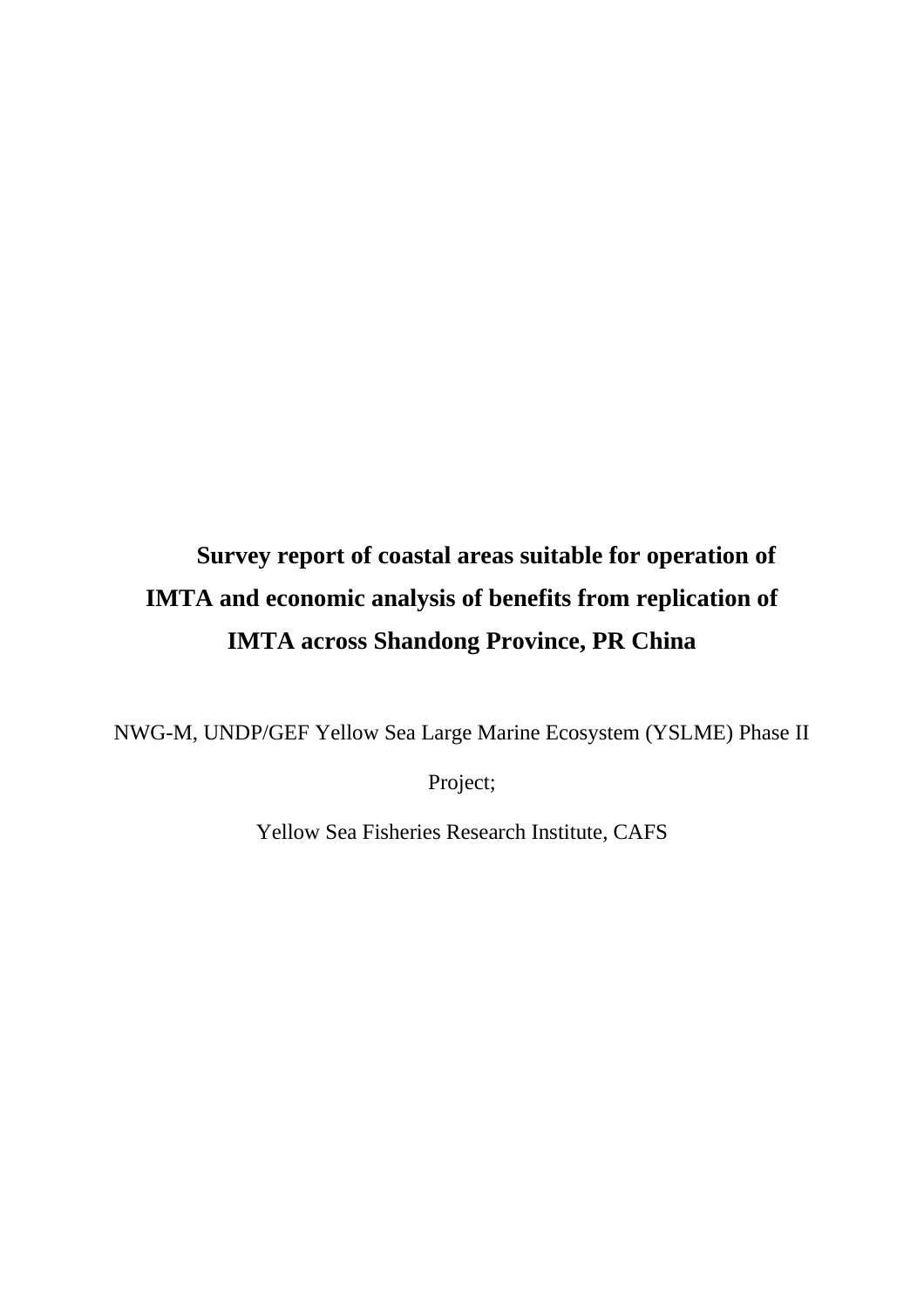# **Survey report of coastal areas suitable for operation of IMTA and economic analysis of benefits from replication of IMTA across Shandong Province, PR China**

NWG-M, UNDP/GEF Yellow Sea Large Marine Ecosystem (YSLME) Phase II

Project;

Yellow Sea Fisheries Research Institute, CAFS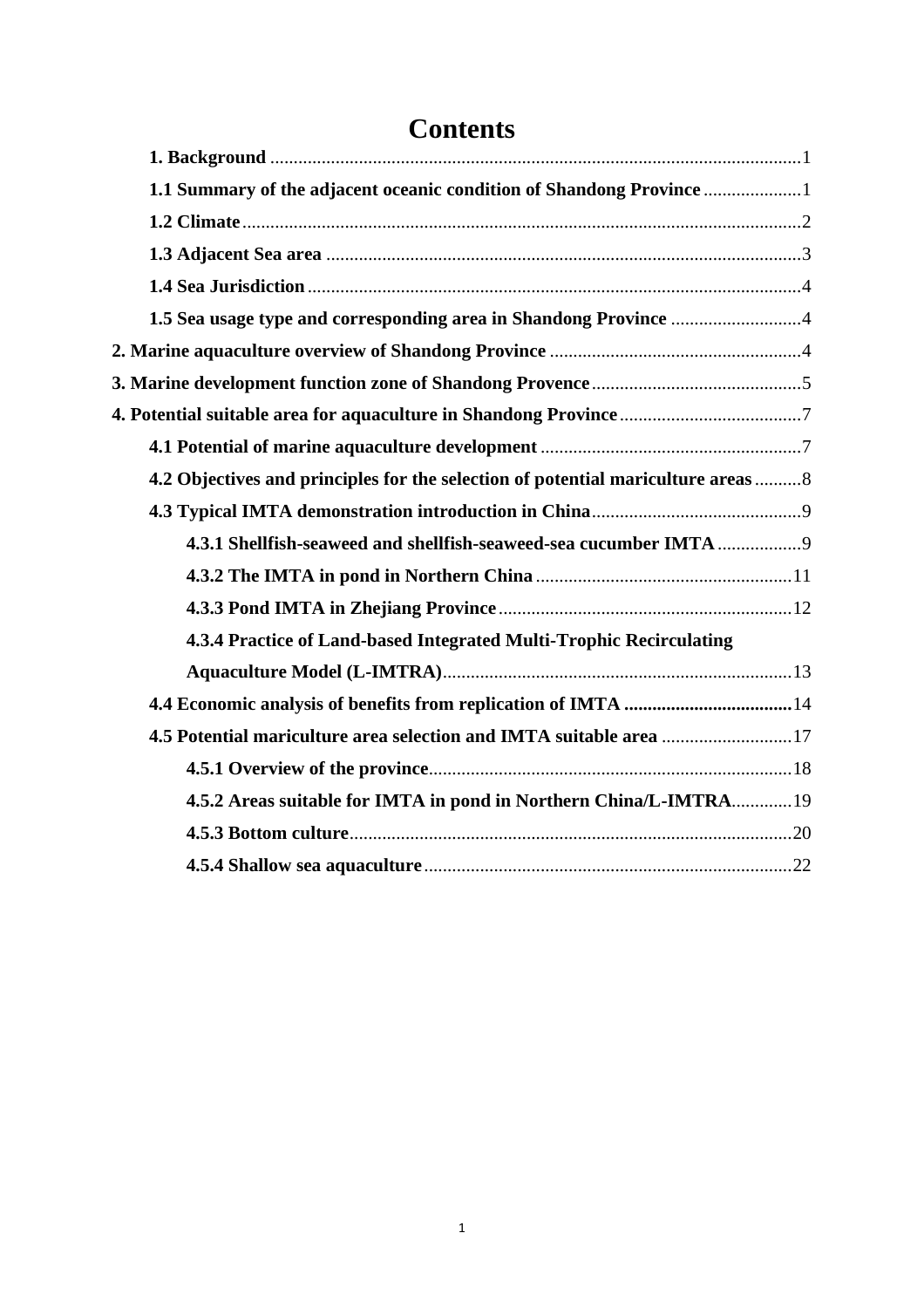| 1.1 Summary of the adjacent oceanic condition of Shandong Province                |
|-----------------------------------------------------------------------------------|
|                                                                                   |
|                                                                                   |
|                                                                                   |
|                                                                                   |
|                                                                                   |
|                                                                                   |
|                                                                                   |
|                                                                                   |
| 4.2 Objectives and principles for the selection of potential mariculture areas  8 |
|                                                                                   |
|                                                                                   |
|                                                                                   |
|                                                                                   |
|                                                                                   |
|                                                                                   |
|                                                                                   |
| 4.5 Potential mariculture area selection and IMTA suitable area 17                |
|                                                                                   |
| 4.5.2 Areas suitable for IMTA in pond in Northern China/L-IMTRA 19                |
|                                                                                   |
|                                                                                   |
|                                                                                   |

# **Contents**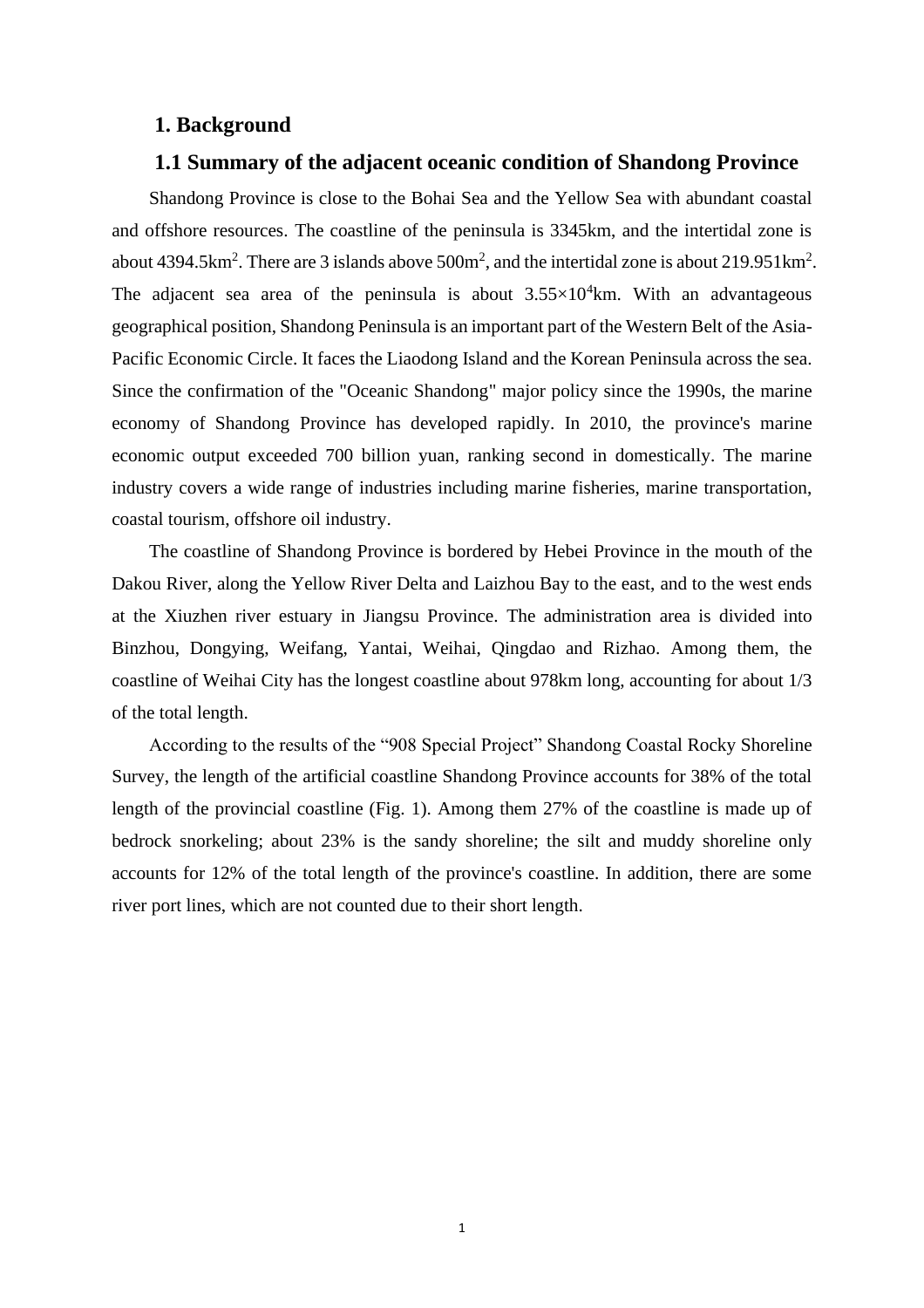#### <span id="page-2-0"></span>**1. Background**

## **1.1 Summary of the adjacent oceanic condition of Shandong Province**

<span id="page-2-1"></span>Shandong Province is close to the Bohai Sea and the Yellow Sea with abundant coastal and offshore resources. The coastline of the peninsula is 3345km, and the intertidal zone is about 4394.5km<sup>2</sup>. There are 3 islands above  $500m^2$ , and the intertidal zone is about  $219.951km^2$ . The adjacent sea area of the peninsula is about  $3.55 \times 10^4$  km. With an advantageous geographical position, Shandong Peninsula is an important part of the Western Belt of the Asia-Pacific Economic Circle. It faces the Liaodong Island and the Korean Peninsula across the sea. Since the confirmation of the "Oceanic Shandong" major policy since the 1990s, the marine economy of Shandong Province has developed rapidly. In 2010, the province's marine economic output exceeded 700 billion yuan, ranking second in domestically. The marine industry covers a wide range of industries including marine fisheries, marine transportation, coastal tourism, offshore oil industry.

The coastline of Shandong Province is bordered by Hebei Province in the mouth of the Dakou River, along the Yellow River Delta and Laizhou Bay to the east, and to the west ends at the Xiuzhen river estuary in Jiangsu Province. The administration area is divided into Binzhou, Dongying, Weifang, Yantai, Weihai, Qingdao and Rizhao. Among them, the coastline of Weihai City has the longest coastline about 978km long, accounting for about 1/3 of the total length.

According to the results of the "908 Special Project" Shandong Coastal Rocky Shoreline Survey, the length of the artificial coastline Shandong Province accounts for 38% of the total length of the provincial coastline (Fig. 1). Among them 27% of the coastline is made up of bedrock snorkeling; about 23% is the sandy shoreline; the silt and muddy shoreline only accounts for 12% of the total length of the province's coastline. In addition, there are some river port lines, which are not counted due to their short length.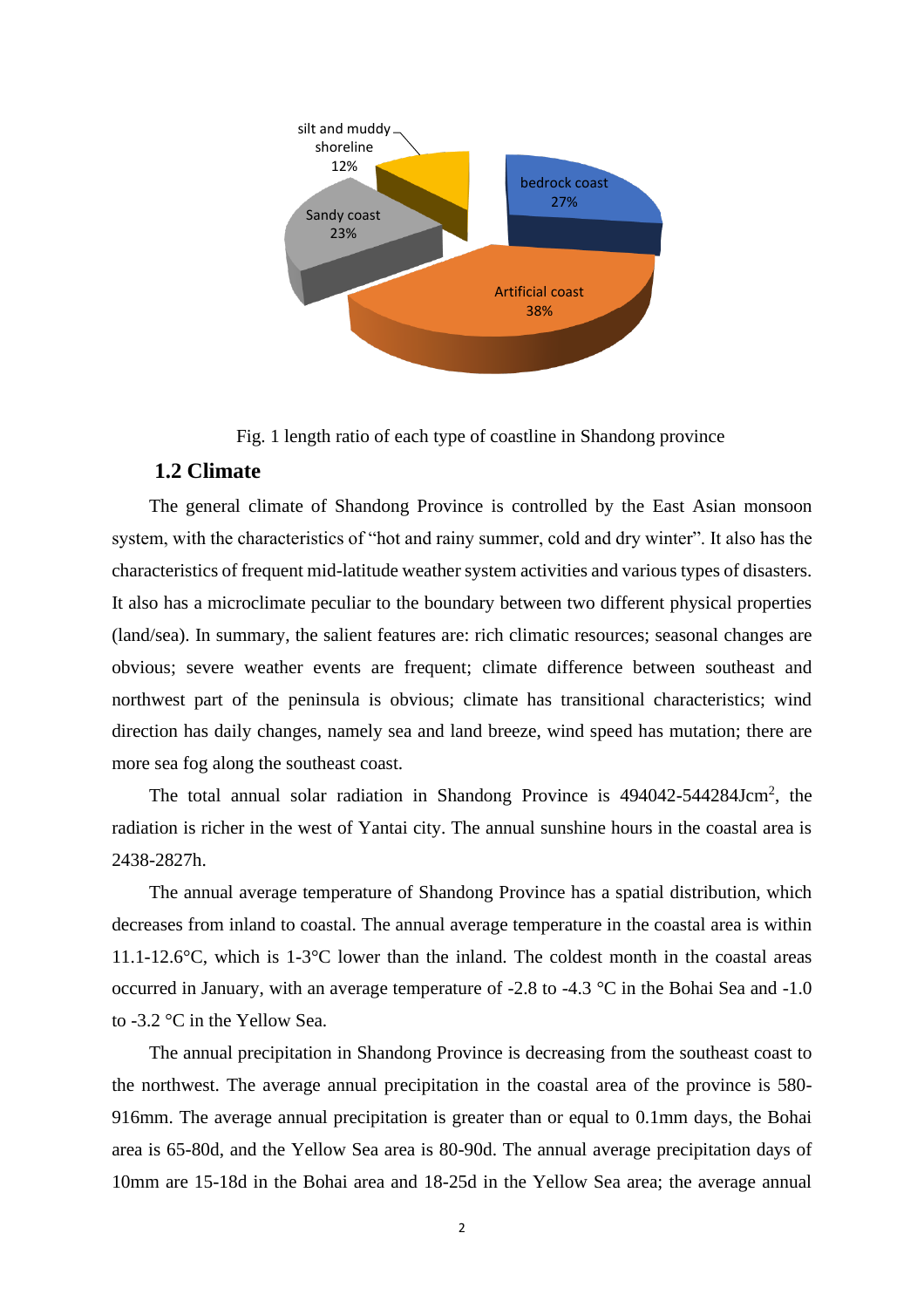

Fig. 1 length ratio of each type of coastline in Shandong province

# **1.2 Climate**

<span id="page-3-0"></span>The general climate of Shandong Province is controlled by the East Asian monsoon system, with the characteristics of "hot and rainy summer, cold and dry winter". It also has the characteristics of frequent mid-latitude weather system activities and various types of disasters. It also has a microclimate peculiar to the boundary between two different physical properties (land/sea). In summary, the salient features are: rich climatic resources; seasonal changes are obvious; severe weather events are frequent; climate difference between southeast and northwest part of the peninsula is obvious; climate has transitional characteristics; wind direction has daily changes, namely sea and land breeze, wind speed has mutation; there are more sea fog along the southeast coast.

The total annual solar radiation in Shandong Province is 494042-544284Jcm<sup>2</sup>, the radiation is richer in the west of Yantai city. The annual sunshine hours in the coastal area is 2438-2827h.

The annual average temperature of Shandong Province has a spatial distribution, which decreases from inland to coastal. The annual average temperature in the coastal area is within 11.1-12.6°C, which is 1-3°C lower than the inland. The coldest month in the coastal areas occurred in January, with an average temperature of -2.8 to -4.3 °C in the Bohai Sea and -1.0 to -3.2 °C in the Yellow Sea.

The annual precipitation in Shandong Province is decreasing from the southeast coast to the northwest. The average annual precipitation in the coastal area of the province is 580- 916mm. The average annual precipitation is greater than or equal to 0.1mm days, the Bohai area is 65-80d, and the Yellow Sea area is 80-90d. The annual average precipitation days of 10mm are 15-18d in the Bohai area and 18-25d in the Yellow Sea area; the average annual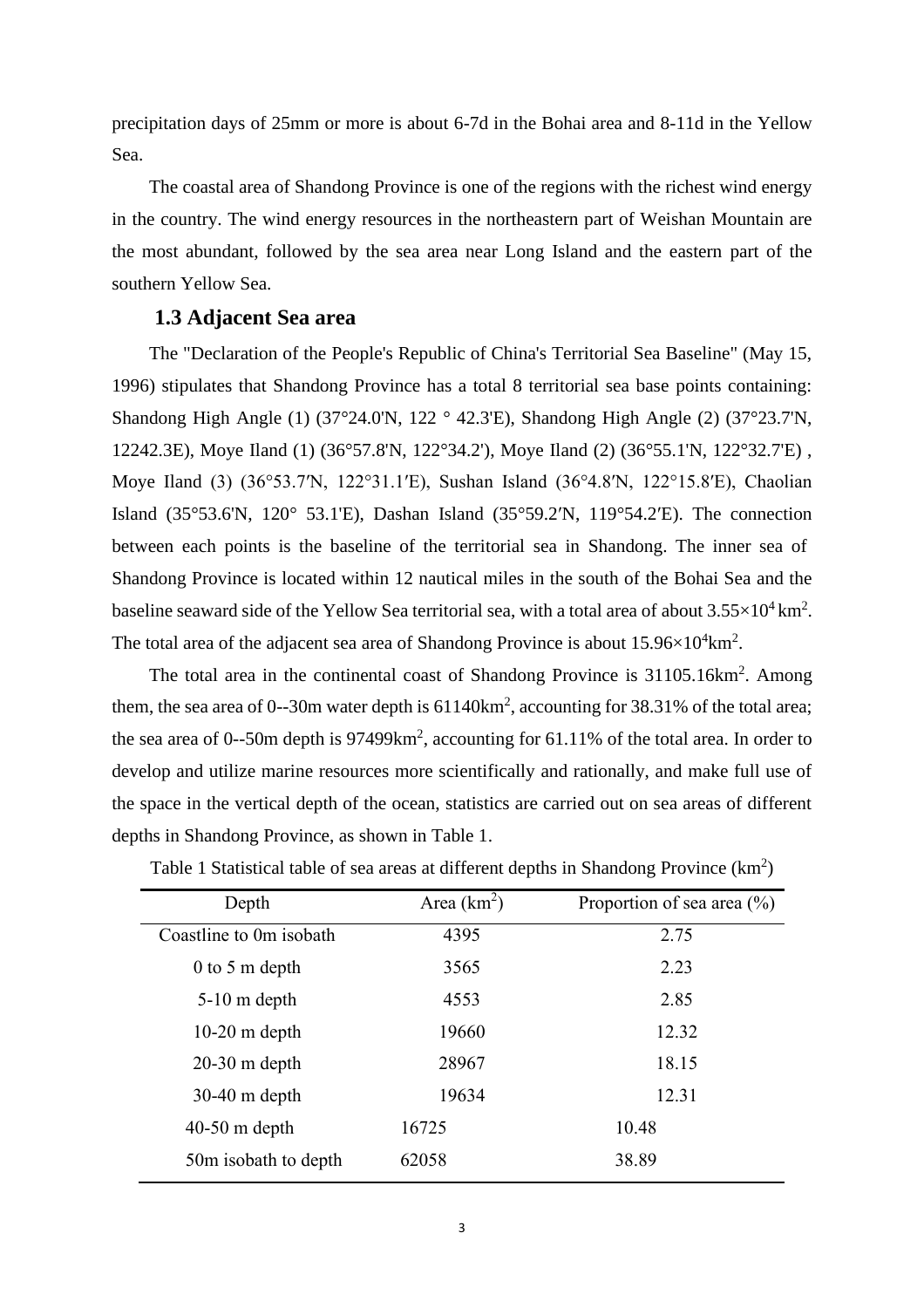precipitation days of 25mm or more is about 6-7d in the Bohai area and 8-11d in the Yellow Sea.

The coastal area of Shandong Province is one of the regions with the richest wind energy in the country. The wind energy resources in the northeastern part of Weishan Mountain are the most abundant, followed by the sea area near Long Island and the eastern part of the southern Yellow Sea.

#### **1.3 Adjacent Sea area**

<span id="page-4-0"></span>The "Declaration of the People's Republic of China's Territorial Sea Baseline" (May 15, 1996) stipulates that Shandong Province has a total 8 territorial sea base points containing: Shandong High Angle (1) (37°24.0'N, 122 ° 42.3'E), Shandong High Angle (2) (37°23.7'N, 12242.3E), Moye Iland (1) (36°57.8'N, 122°34.2'), Moye Iland (2) (36°55.1'N, 122°32.7'E) , Moye Iland (3) (36°53.7′N, 122°31.1′E), Sushan Island (36°4.8′N, 122°15.8′E), Chaolian Island (35°53.6'N, 120° 53.1'E), Dashan Island (35°59.2′N, 119°54.2′E). The connection between each points is the baseline of the territorial sea in Shandong. The inner sea of Shandong Province is located within 12 nautical miles in the south of the Bohai Sea and the baseline seaward side of the Yellow Sea territorial sea, with a total area of about  $3.55 \times 10^4 \text{ km}^2$ . The total area of the adjacent sea area of Shandong Province is about  $15.96 \times 10^4$ km<sup>2</sup>.

The total area in the continental coast of Shandong Province is 31105.16km<sup>2</sup>. Among them, the sea area of 0--30m water depth is  $61140 \text{km}^2$ , accounting for 38.31% of the total area; the sea area of 0--50m depth is  $97499km^2$ , accounting for 61.11% of the total area. In order to develop and utilize marine resources more scientifically and rationally, and make full use of the space in the vertical depth of the ocean, statistics are carried out on sea areas of different depths in Shandong Province, as shown in Table 1.

| Depth                   | Area $(km^2)$ | Proportion of sea area $(\% )$ |
|-------------------------|---------------|--------------------------------|
| Coastline to 0m isobath | 4395          | 2.75                           |
| $0$ to 5 m depth        | 3565          | 2.23                           |
| $5-10$ m depth          | 4553          | 2.85                           |
| $10-20$ m depth         | 19660         | 12.32                          |
| $20-30$ m depth         | 28967         | 18.15                          |
| $30-40$ m depth         | 19634         | 12.31                          |
| $40-50$ m depth         | 16725         | 10.48                          |
| 50m isobath to depth    | 62058         | 38.89                          |

Table 1 Statistical table of sea areas at different depths in Shandong Province  $(km^2)$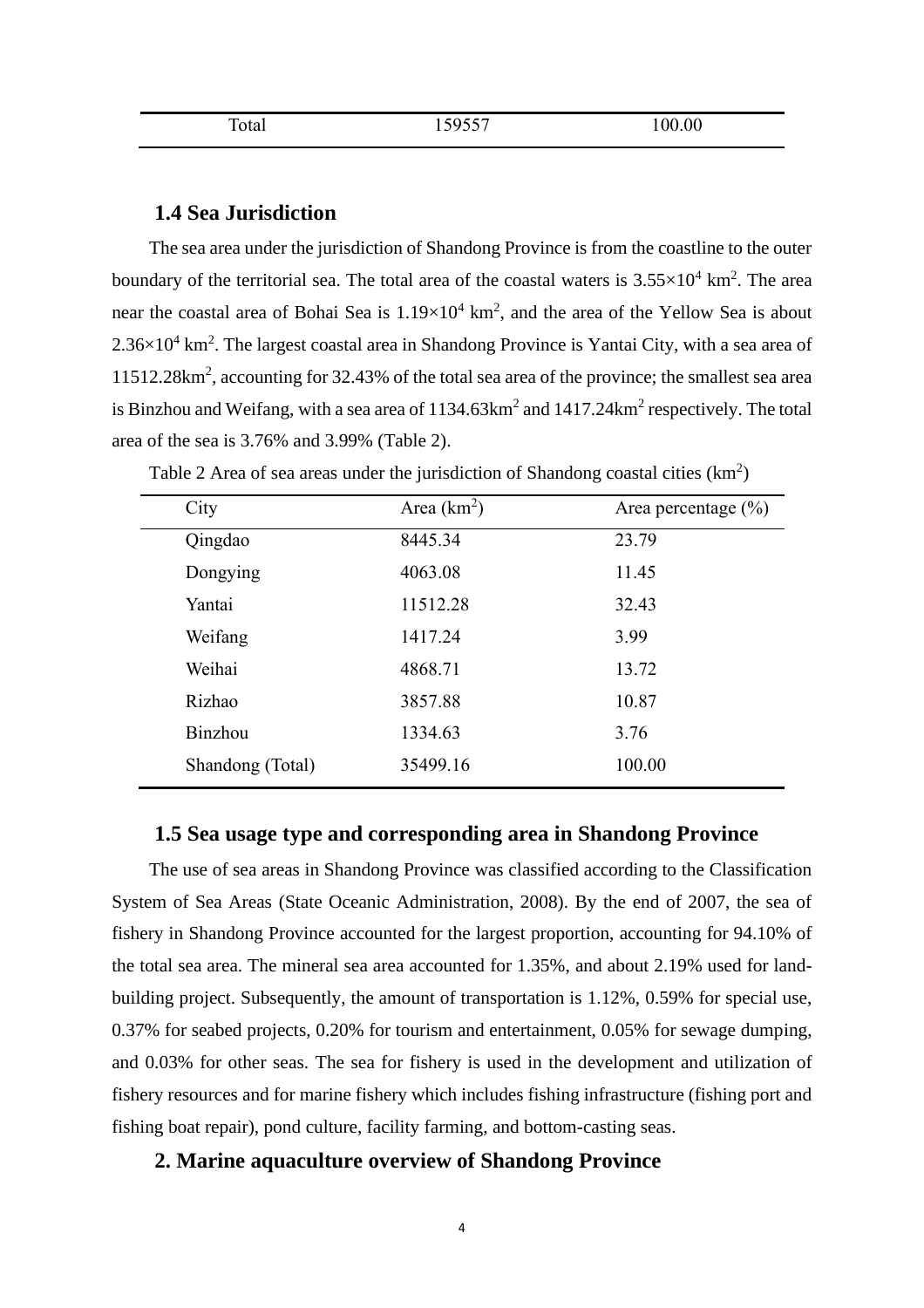| ᅲ<br><b>Cotal</b> | 500557<br>١ч<br>1 <i>0100'</i> | 100.00 |
|-------------------|--------------------------------|--------|
|                   |                                |        |

### **1.4 Sea Jurisdiction**

<span id="page-5-0"></span>The sea area under the jurisdiction of Shandong Province is from the coastline to the outer boundary of the territorial sea. The total area of the coastal waters is  $3.55 \times 10^4$  km<sup>2</sup>. The area near the coastal area of Bohai Sea is  $1.19 \times 10^4$  km<sup>2</sup>, and the area of the Yellow Sea is about  $2.36\times10^4$  km<sup>2</sup>. The largest coastal area in Shandong Province is Yantai City, with a sea area of 11512.28km<sup>2</sup> , accounting for 32.43% of the total sea area of the province; the smallest sea area is Binzhou and Weifang, with a sea area of  $1134.63 \text{km}^2$  and  $1417.24 \text{km}^2$  respectively. The total area of the sea is 3.76% and 3.99% (Table 2).

| City             | Area $(km^2)$ | Area percentage $(\% )$ |
|------------------|---------------|-------------------------|
| Qingdao          | 8445.34       | 23.79                   |
| Dongying         | 4063.08       | 11.45                   |
| Yantai           | 11512.28      | 32.43                   |
| Weifang          | 1417.24       | 3.99                    |
| Weihai           | 4868.71       | 13.72                   |
| Rizhao           | 3857.88       | 10.87                   |
| Binzhou          | 1334.63       | 3.76                    |
| Shandong (Total) | 35499.16      | 100.00                  |

| Table 2 Area of sea areas under the jurisdiction of Shandong coastal cities $(km2)$ |  |  |  |
|-------------------------------------------------------------------------------------|--|--|--|
|-------------------------------------------------------------------------------------|--|--|--|

#### **1.5 Sea usage type and corresponding area in Shandong Province**

<span id="page-5-1"></span>The use of sea areas in Shandong Province was classified according to the Classification System of Sea Areas (State Oceanic Administration, 2008). By the end of 2007, the sea of fishery in Shandong Province accounted for the largest proportion, accounting for 94.10% of the total sea area. The mineral sea area accounted for 1.35%, and about 2.19% used for landbuilding project. Subsequently, the amount of transportation is 1.12%, 0.59% for special use, 0.37% for seabed projects, 0.20% for tourism and entertainment, 0.05% for sewage dumping, and 0.03% for other seas. The sea for fishery is used in the development and utilization of fishery resources and for marine fishery which includes fishing infrastructure (fishing port and fishing boat repair), pond culture, facility farming, and bottom-casting seas.

#### <span id="page-5-2"></span>**2. Marine aquaculture overview of Shandong Province**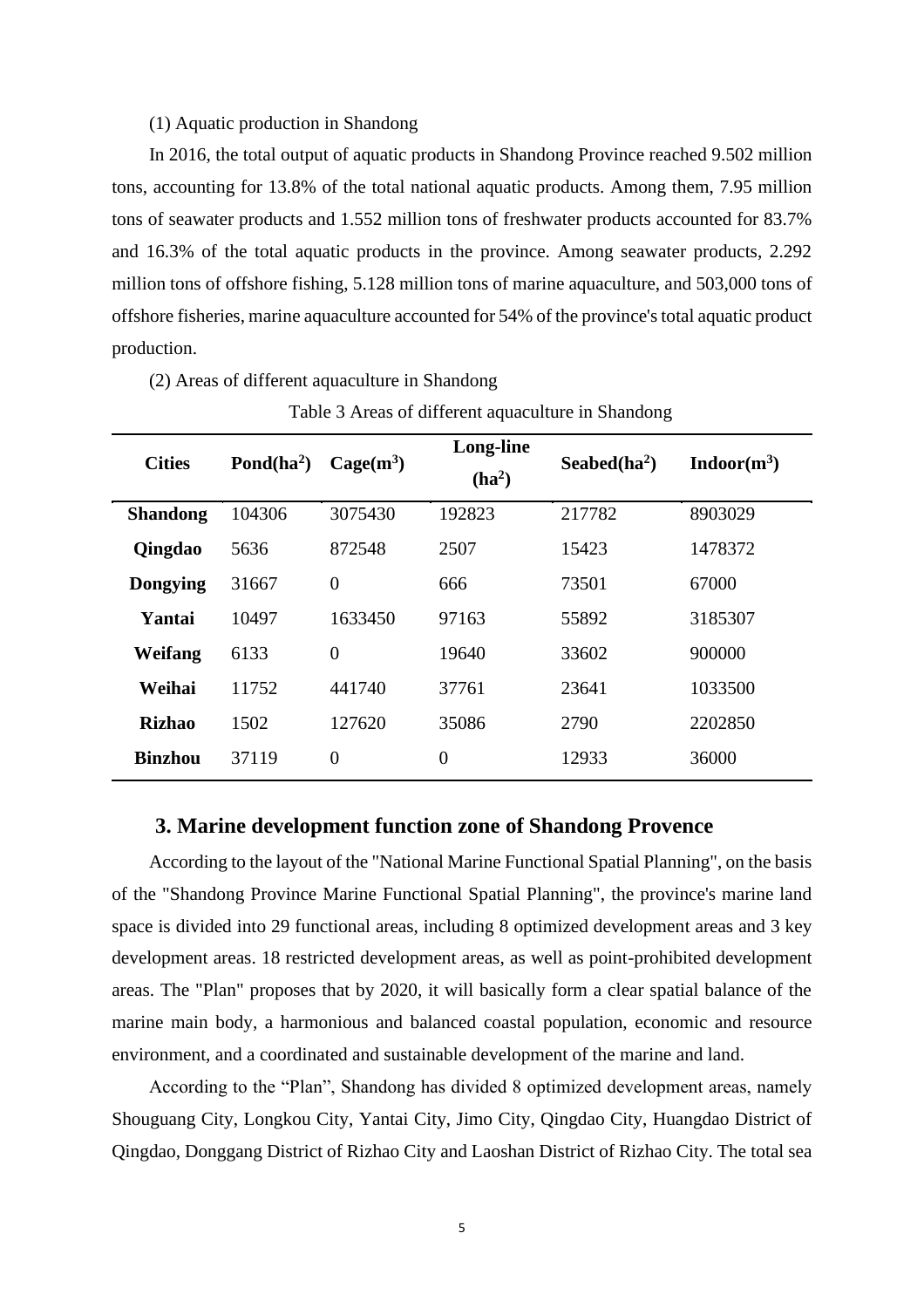#### (1) Aquatic production in Shandong

In 2016, the total output of aquatic products in Shandong Province reached 9.502 million tons, accounting for 13.8% of the total national aquatic products. Among them, 7.95 million tons of seawater products and 1.552 million tons of freshwater products accounted for 83.7% and 16.3% of the total aquatic products in the province. Among seawater products, 2.292 million tons of offshore fishing, 5.128 million tons of marine aquaculture, and 503,000 tons of offshore fisheries, marine aquaculture accounted for 54% of the province's total aquatic product production.

(2) Areas of different aquaculture in Shandong

| <b>Cities</b>   | Pond $(ha^2)$ | $Cage(m^3)$    | <b>Long-line</b> | Seabed $(ha^2)$ | Indoor(m <sup>3</sup> ) |
|-----------------|---------------|----------------|------------------|-----------------|-------------------------|
|                 |               |                | $(ha^2)$         |                 |                         |
| <b>Shandong</b> | 104306        | 3075430        | 192823           | 217782          | 8903029                 |
| Qingdao         | 5636          | 872548         | 2507             | 15423           | 1478372                 |
| <b>Dongying</b> | 31667         | $\overline{0}$ | 666              | 73501           | 67000                   |
| Yantai          | 10497         | 1633450        | 97163            | 55892           | 3185307                 |
| Weifang         | 6133          | $\overline{0}$ | 19640            | 33602           | 900000                  |
| Weihai          | 11752         | 441740         | 37761            | 23641           | 1033500                 |
| <b>Rizhao</b>   | 1502          | 127620         | 35086            | 2790            | 2202850                 |
| <b>Binzhou</b>  | 37119         | $\overline{0}$ | $\overline{0}$   | 12933           | 36000                   |

Table 3 Areas of different aquaculture in Shandong

#### **3. Marine development function zone of Shandong Provence**

<span id="page-6-0"></span>According to the layout of the "National Marine Functional Spatial Planning", on the basis of the "Shandong Province Marine Functional Spatial Planning", the province's marine land space is divided into 29 functional areas, including 8 optimized development areas and 3 key development areas. 18 restricted development areas, as well as point-prohibited development areas. The "Plan" proposes that by 2020, it will basically form a clear spatial balance of the marine main body, a harmonious and balanced coastal population, economic and resource environment, and a coordinated and sustainable development of the marine and land.

According to the "Plan", Shandong has divided 8 optimized development areas, namely Shouguang City, Longkou City, Yantai City, Jimo City, Qingdao City, Huangdao District of Qingdao, Donggang District of Rizhao City and Laoshan District of Rizhao City. The total sea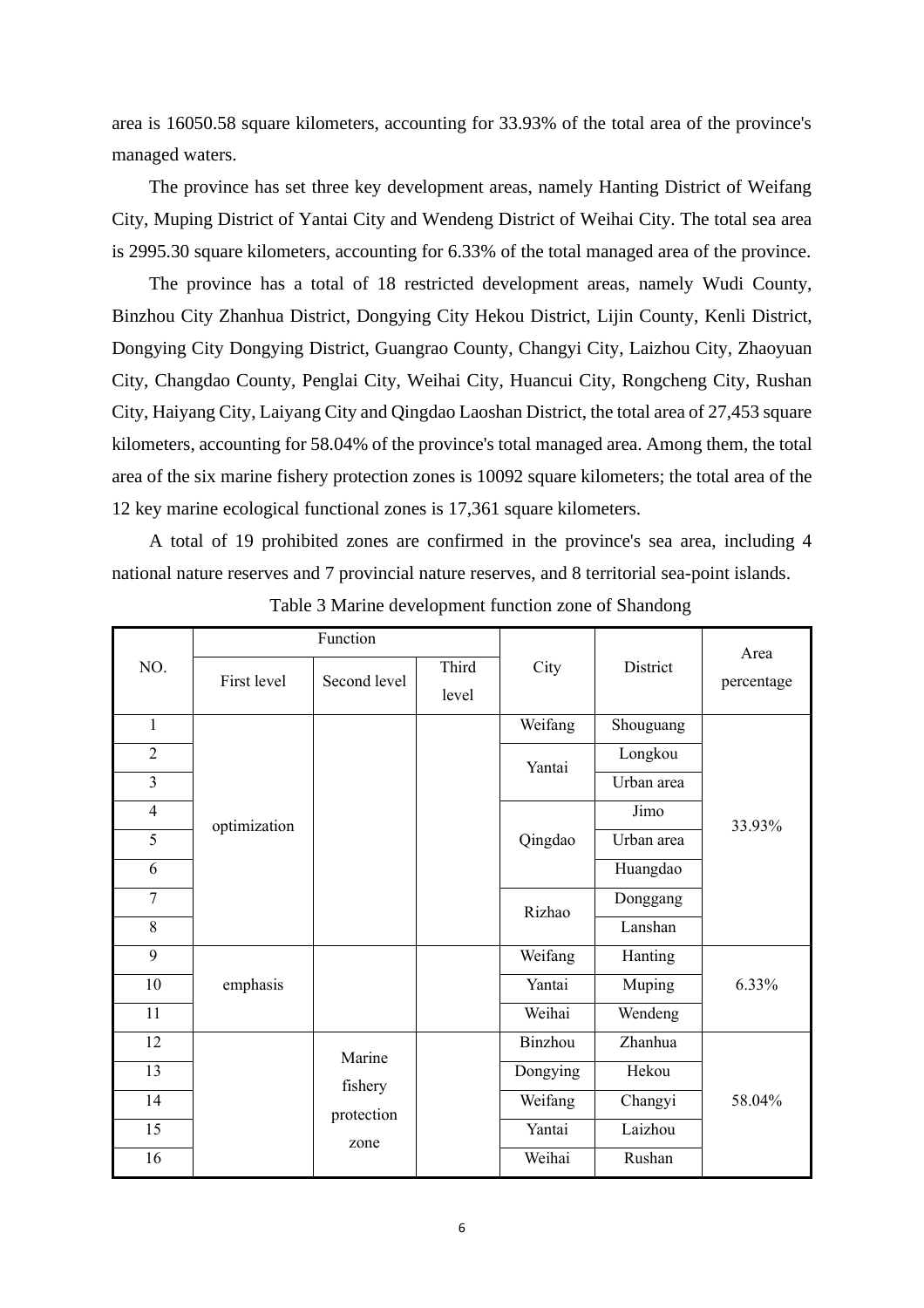area is 16050.58 square kilometers, accounting for 33.93% of the total area of the province's managed waters.

The province has set three key development areas, namely Hanting District of Weifang City, Muping District of Yantai City and Wendeng District of Weihai City. The total sea area is 2995.30 square kilometers, accounting for 6.33% of the total managed area of the province.

The province has a total of 18 restricted development areas, namely Wudi County, Binzhou City Zhanhua District, Dongying City Hekou District, Lijin County, Kenli District, Dongying City Dongying District, Guangrao County, Changyi City, Laizhou City, Zhaoyuan City, Changdao County, Penglai City, Weihai City, Huancui City, Rongcheng City, Rushan City, Haiyang City, Laiyang City and Qingdao Laoshan District, the total area of 27,453 square kilometers, accounting for 58.04% of the province's total managed area. Among them, the total area of the six marine fishery protection zones is 10092 square kilometers; the total area of the 12 key marine ecological functional zones is 17,361 square kilometers.

A total of 19 prohibited zones are confirmed in the province's sea area, including 4 national nature reserves and 7 provincial nature reserves, and 8 territorial sea-point islands.

|                |              | Function              |       |          |            | Area       |
|----------------|--------------|-----------------------|-------|----------|------------|------------|
| NO.            | First level  | Third<br>Second level |       | City     | District   | percentage |
|                |              |                       | level |          |            |            |
| $\mathbf{1}$   |              |                       |       | Weifang  | Shouguang  |            |
| $\overline{2}$ |              |                       |       | Yantai   | Longkou    |            |
| $\overline{3}$ |              |                       |       |          | Urban area |            |
| $\overline{4}$ | optimization |                       |       |          | Jimo       | 33.93%     |
| 5              |              |                       |       | Qingdao  | Urban area |            |
| 6              |              |                       |       |          | Huangdao   |            |
| $\tau$         |              |                       |       | Rizhao   | Donggang   |            |
| 8              |              |                       |       |          | Lanshan    |            |
| 9              |              |                       |       | Weifang  | Hanting    |            |
| 10             | emphasis     |                       |       | Yantai   | Muping     | 6.33%      |
| 11             |              |                       |       | Weihai   | Wendeng    |            |
| 12             |              | Marine                |       | Binzhou  | Zhanhua    |            |
| 13             |              | fishery               |       | Dongying | Hekou      |            |
| 14             |              | protection            |       | Weifang  | Changyi    | 58.04%     |
| 15             |              | zone                  |       | Yantai   | Laizhou    |            |
| 16             |              |                       |       | Weihai   | Rushan     |            |

Table 3 Marine development function zone of Shandong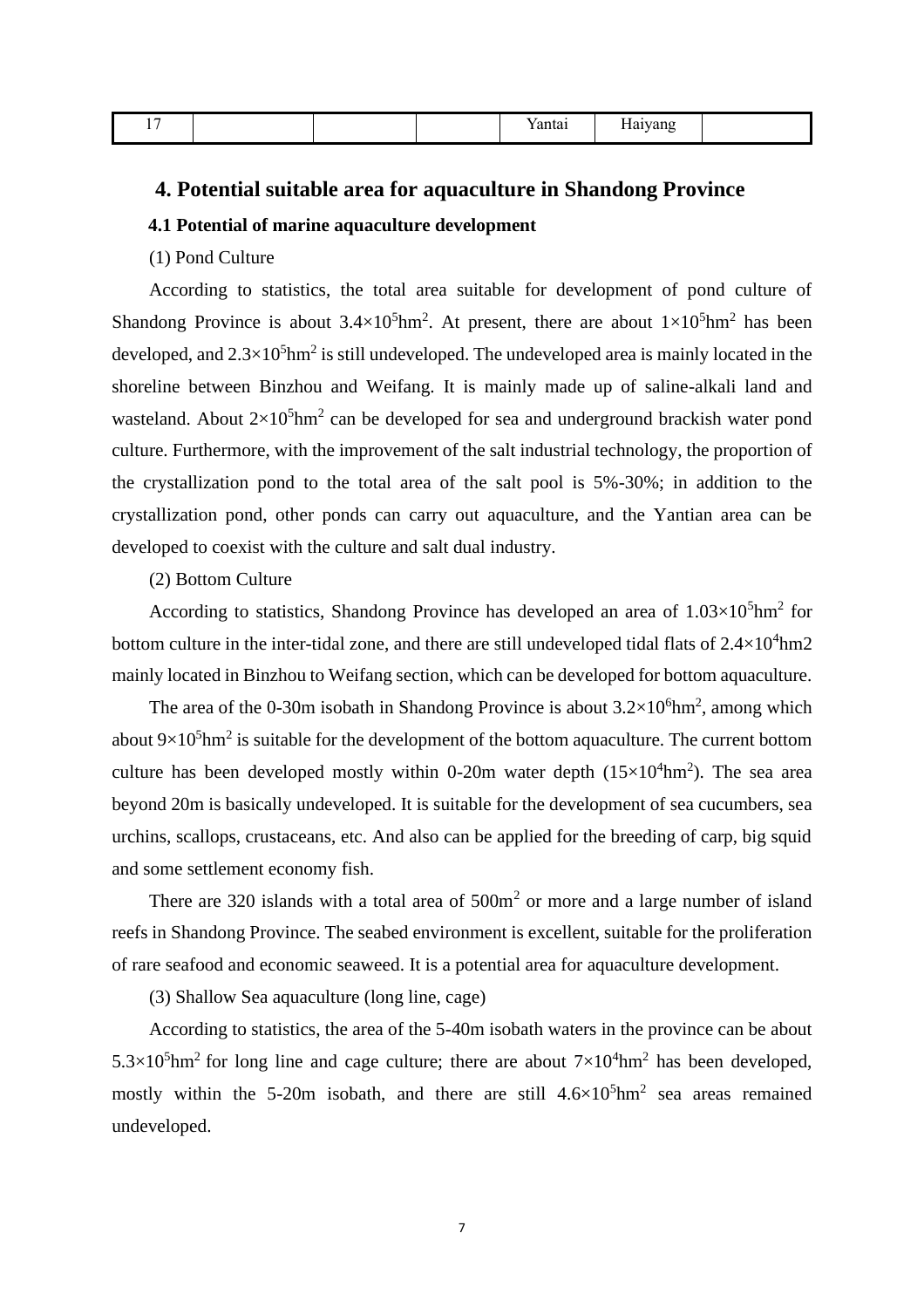| $      -$ | $ -$<br>.<br>-- |
|-----------|-----------------|
|-----------|-----------------|

#### <span id="page-8-0"></span>**4. Potential suitable area for aquaculture in Shandong Province**

#### <span id="page-8-1"></span>**4.1 Potential of marine aquaculture development**

(1) Pond Culture

According to statistics, the total area suitable for development of pond culture of Shandong Province is about  $3.4 \times 10^5$ hm<sup>2</sup>. At present, there are about  $1 \times 10^5$ hm<sup>2</sup> has been developed, and  $2.3 \times 10^5$ hm<sup>2</sup> is still undeveloped. The undeveloped area is mainly located in the shoreline between Binzhou and Weifang. It is mainly made up of saline-alkali land and wasteland. About  $2\times10^5$ hm<sup>2</sup> can be developed for sea and underground brackish water pond culture. Furthermore, with the improvement of the salt industrial technology, the proportion of the crystallization pond to the total area of the salt pool is 5%-30%; in addition to the crystallization pond, other ponds can carry out aquaculture, and the Yantian area can be developed to coexist with the culture and salt dual industry.

#### (2) Bottom Culture

According to statistics, Shandong Province has developed an area of  $1.03\times10^5$ hm<sup>2</sup> for bottom culture in the inter-tidal zone, and there are still undeveloped tidal flats of  $2.4\times10^4$ hm2 mainly located in Binzhou to Weifang section, which can be developed for bottom aquaculture.

The area of the 0-30m isobath in Shandong Province is about  $3.2 \times 10^6$ hm<sup>2</sup>, among which about  $9\times10^5$ hm<sup>2</sup> is suitable for the development of the bottom aquaculture. The current bottom culture has been developed mostly within 0-20m water depth  $(15\times10^4$ hm<sup>2</sup>). The sea area beyond 20m is basically undeveloped. It is suitable for the development of sea cucumbers, sea urchins, scallops, crustaceans, etc. And also can be applied for the breeding of carp, big squid and some settlement economy fish.

There are 320 islands with a total area of  $500m<sup>2</sup>$  or more and a large number of island reefs in Shandong Province. The seabed environment is excellent, suitable for the proliferation of rare seafood and economic seaweed. It is a potential area for aquaculture development.

(3) Shallow Sea aquaculture (long line, cage)

According to statistics, the area of the 5-40m isobath waters in the province can be about  $5.3 \times 10^5$ hm<sup>2</sup> for long line and cage culture; there are about  $7 \times 10^4$ hm<sup>2</sup> has been developed, mostly within the 5-20m isobath, and there are still  $4.6 \times 10^5$ hm<sup>2</sup> sea areas remained undeveloped.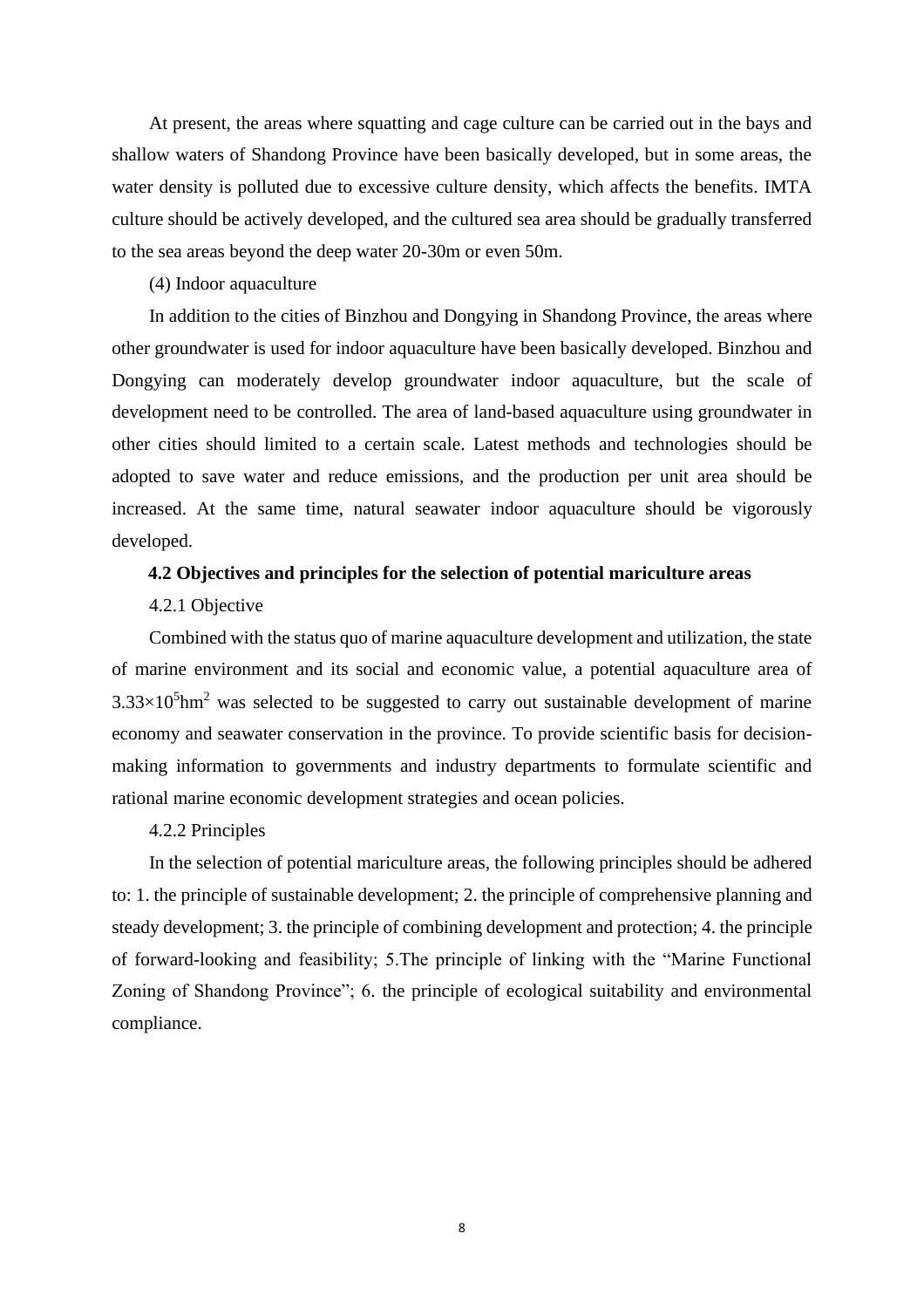At present, the areas where squatting and cage culture can be carried out in the bays and shallow waters of Shandong Province have been basically developed, but in some areas, the water density is polluted due to excessive culture density, which affects the benefits. IMTA culture should be actively developed, and the cultured sea area should be gradually transferred to the sea areas beyond the deep water 20-30m or even 50m.

#### (4) Indoor aquaculture

In addition to the cities of Binzhou and Dongying in Shandong Province, the areas where other groundwater is used for indoor aquaculture have been basically developed. Binzhou and Dongying can moderately develop groundwater indoor aquaculture, but the scale of development need to be controlled. The area of land-based aquaculture using groundwater in other cities should limited to a certain scale. Latest methods and technologies should be adopted to save water and reduce emissions, and the production per unit area should be increased. At the same time, natural seawater indoor aquaculture should be vigorously developed.

#### <span id="page-9-0"></span>**4.2 Objectives and principles for the selection of potential mariculture areas**

#### 4.2.1 Objective

Combined with the status quo of marine aquaculture development and utilization, the state of marine environment and its social and economic value, a potential aquaculture area of  $3.33\times10^5$ hm<sup>2</sup> was selected to be suggested to carry out sustainable development of marine economy and seawater conservation in the province. To provide scientific basis for decisionmaking information to governments and industry departments to formulate scientific and rational marine economic development strategies and ocean policies.

#### 4.2.2 Principles

In the selection of potential mariculture areas, the following principles should be adhered to: 1. the principle of sustainable development; 2. the principle of comprehensive planning and steady development; 3. the principle of combining development and protection; 4. the principle of forward-looking and feasibility; 5.The principle of linking with the "Marine Functional Zoning of Shandong Province"; 6. the principle of ecological suitability and environmental compliance.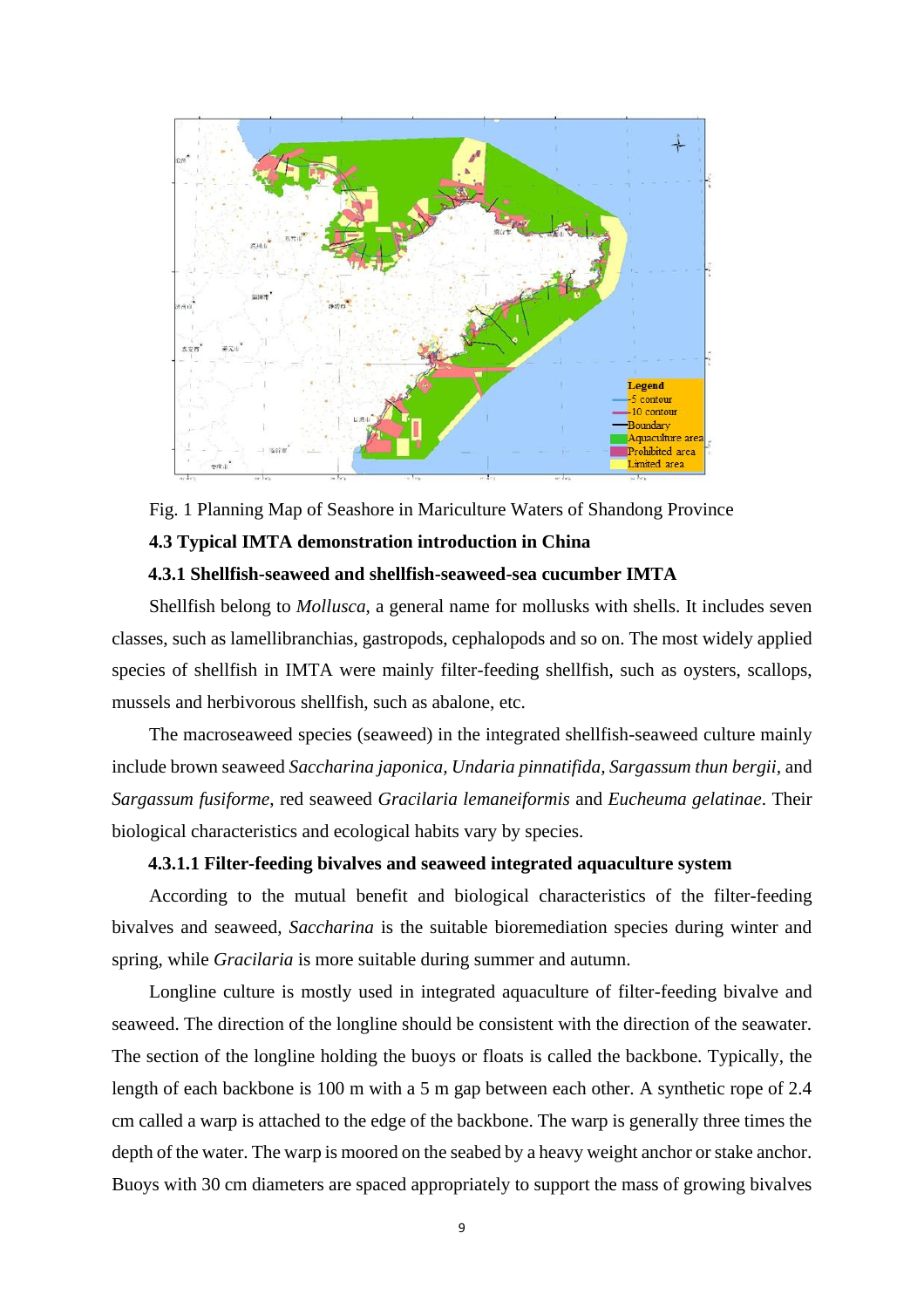

<span id="page-10-0"></span>Fig. 1 Planning Map of Seashore in Mariculture Waters of Shandong Province **4.3 Typical IMTA demonstration introduction in China**

#### **4.3.1 Shellfish-seaweed and shellfish-seaweed-sea cucumber IMTA**

<span id="page-10-1"></span>Shellfish belong to *Mollusca*, a general name for mollusks with shells. It includes seven classes, such as lamellibranchias, gastropods, cephalopods and so on. The most widely applied species of shellfish in IMTA were mainly filter-feeding shellfish, such as oysters, scallops, mussels and herbivorous shellfish, such as abalone, etc.

The macroseaweed species (seaweed) in the integrated shellfish-seaweed culture mainly include brown seaweed *Saccharina japonica, Undaria pinnatifida, Sargassum thun bergii,* and *Sargassum fusiforme*, red seaweed *Gracilaria lemaneiformis* and *Eucheuma gelatinae*. Their biological characteristics and ecological habits vary by species.

#### **4.3.1.1 Filter-feeding bivalves and seaweed integrated aquaculture system**

According to the mutual benefit and biological characteristics of the filter-feeding bivalves and seaweed, *Saccharina* is the suitable bioremediation species during winter and spring, while *Gracilaria* is more suitable during summer and autumn.

Longline culture is mostly used in integrated aquaculture of filter-feeding bivalve and seaweed. The direction of the longline should be consistent with the direction of the seawater. The section of the longline holding the buoys or floats is called the backbone. Typically, the length of each backbone is 100 m with a 5 m gap between each other. A synthetic rope of 2.4 cm called a warp is attached to the edge of the backbone. The warp is generally three times the depth of the water. The warp is moored on the seabed by a heavy weight anchor or stake anchor. Buoys with 30 cm diameters are spaced appropriately to support the mass of growing bivalves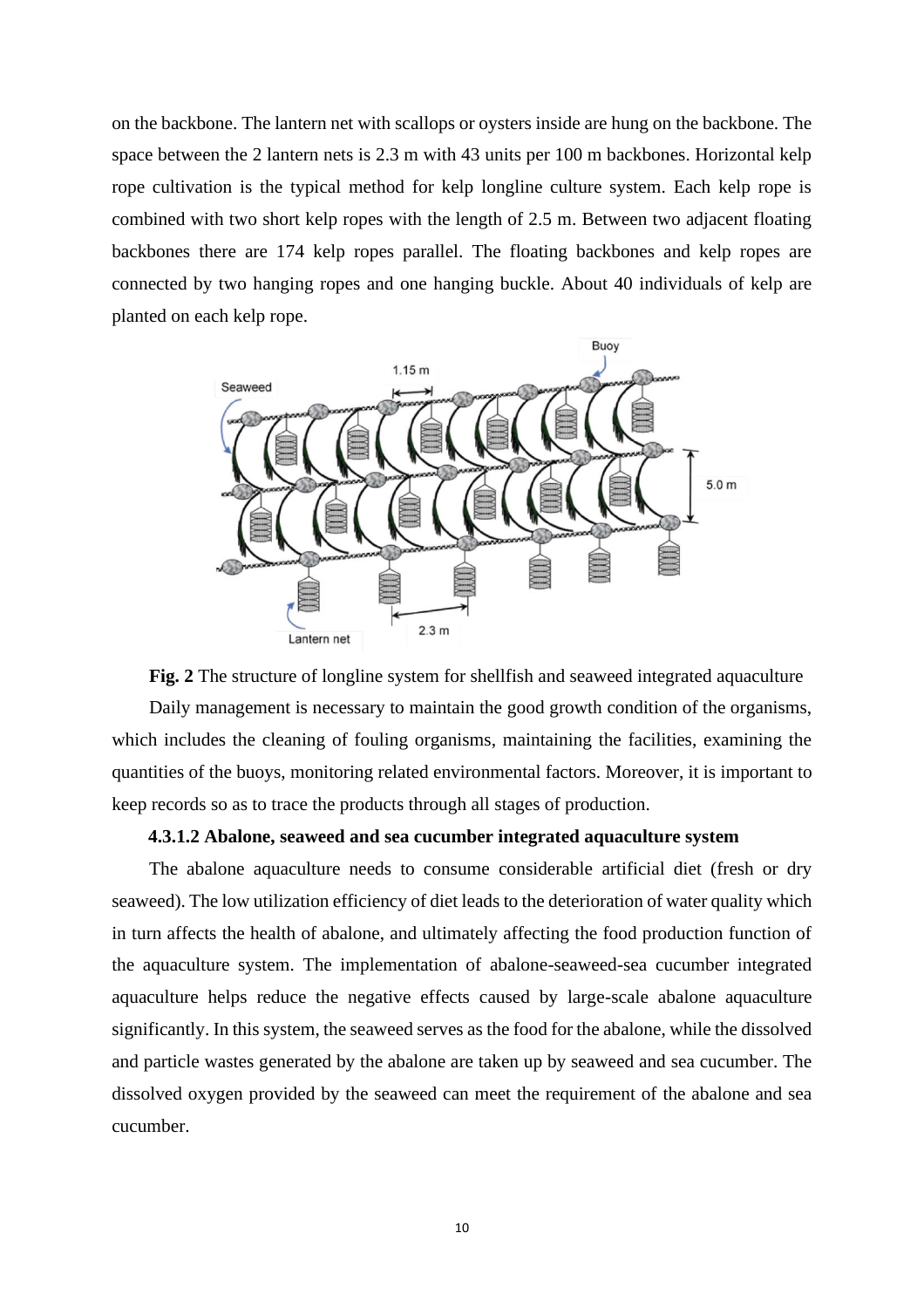on the backbone. The lantern net with scallops or oysters inside are hung on the backbone. The space between the 2 lantern nets is 2.3 m with 43 units per 100 m backbones. Horizontal kelp rope cultivation is the typical method for kelp longline culture system. Each kelp rope is combined with two short kelp ropes with the length of 2.5 m. Between two adjacent floating backbones there are 174 kelp ropes parallel. The floating backbones and kelp ropes are connected by two hanging ropes and one hanging buckle. About 40 individuals of kelp are planted on each kelp rope.





#### **4.3.1.2 Abalone, seaweed and sea cucumber integrated aquaculture system**

The abalone aquaculture needs to consume considerable artificial diet (fresh or dry seaweed). The low utilization efficiency of diet leads to the deterioration of water quality which in turn affects the health of abalone, and ultimately affecting the food production function of the aquaculture system. The implementation of abalone-seaweed-sea cucumber integrated aquaculture helps reduce the negative effects caused by large-scale abalone aquaculture significantly. In this system, the seaweed serves as the food for the abalone, while the dissolved and particle wastes generated by the abalone are taken up by seaweed and sea cucumber. The dissolved oxygen provided by the seaweed can meet the requirement of the abalone and sea cucumber.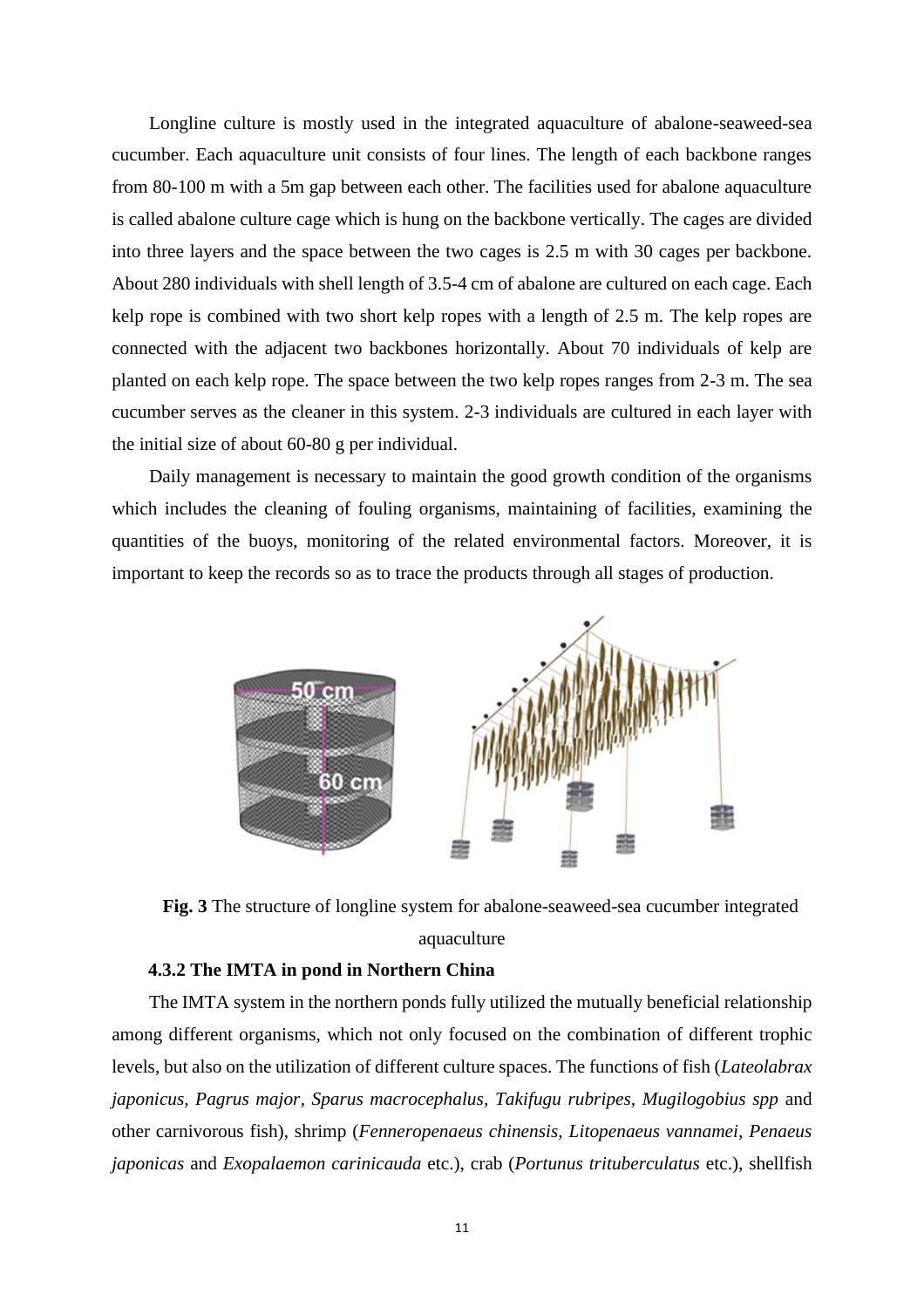Longline culture is mostly used in the integrated aquaculture of abalone-seaweed-sea cucumber. Each aquaculture unit consists of four lines. The length of each backbone ranges from 80-100 m with a 5m gap between each other. The facilities used for abalone aquaculture is called abalone culture cage which is hung on the backbone vertically. The cages are divided into three layers and the space between the two cages is 2.5 m with 30 cages per backbone. About 280 individuals with shell length of 3.5-4 cm of abalone are cultured on each cage. Each kelp rope is combined with two short kelp ropes with a length of 2.5 m. The kelp ropes are connected with the adjacent two backbones horizontally. About 70 individuals of kelp are planted on each kelp rope. The space between the two kelp ropes ranges from 2-3 m. The sea cucumber serves as the cleaner in this system. 2-3 individuals are cultured in each layer with the initial size of about 60-80 g per individual.

Daily management is necessary to maintain the good growth condition of the organisms which includes the cleaning of fouling organisms, maintaining of facilities, examining the quantities of the buoys, monitoring of the related environmental factors. Moreover, it is important to keep the records so as to trace the products through all stages of production.



**Fig. 3** The structure of longline system for abalone-seaweed-sea cucumber integrated aquaculture

#### **4.3.2 The IMTA in pond in Northern China**

<span id="page-12-0"></span>The IMTA system in the northern ponds fully utilized the mutually beneficial relationship among different organisms, which not only focused on the combination of different trophic levels, but also on the utilization of different culture spaces. The functions of fish (*Lateolabrax japonicus, Pagrus major, Sparus macrocephalus, Takifugu rubripes, Mugilogobius spp* and other carnivorous fish), shrimp (*Fenneropenaeus chinensis, Litopenaeus vannamei, Penaeus japonicas* and *Exopalaemon carinicauda* etc.), crab (*Portunus trituberculatus* etc.), shellfish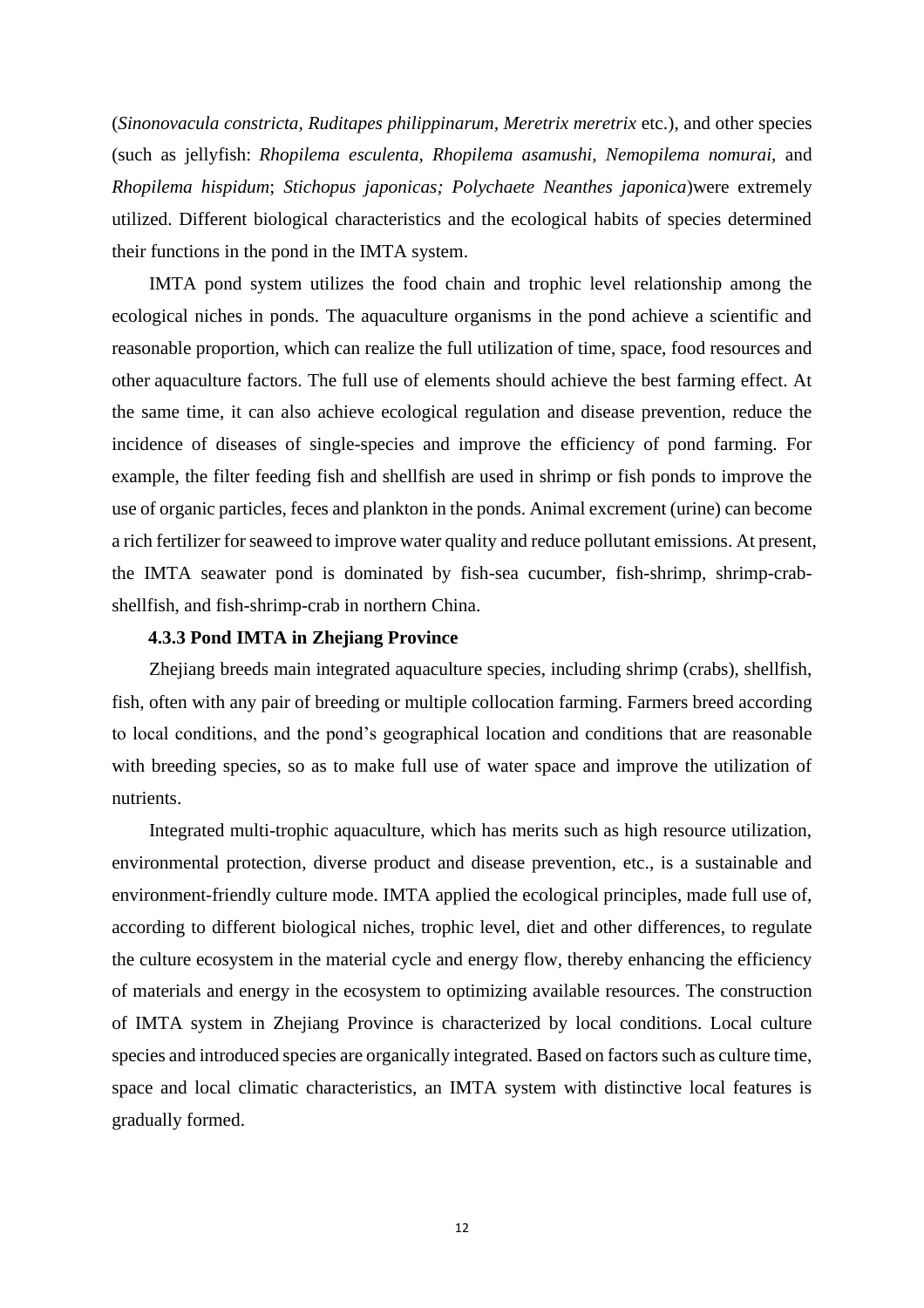(*Sinonovacula constricta, Ruditapes philippinarum, Meretrix meretrix* etc.), and other species (such as jellyfish: *Rhopilema esculenta, Rhopilema asamushi, Nemopilema nomurai,* and *Rhopilema hispidum*; *Stichopus japonicas; Polychaete Neanthes japonica*)were extremely utilized. Different biological characteristics and the ecological habits of species determined their functions in the pond in the IMTA system.

IMTA pond system utilizes the food chain and trophic level relationship among the ecological niches in ponds. The aquaculture organisms in the pond achieve a scientific and reasonable proportion, which can realize the full utilization of time, space, food resources and other aquaculture factors. The full use of elements should achieve the best farming effect. At the same time, it can also achieve ecological regulation and disease prevention, reduce the incidence of diseases of single-species and improve the efficiency of pond farming. For example, the filter feeding fish and shellfish are used in shrimp or fish ponds to improve the use of organic particles, feces and plankton in the ponds. Animal excrement (urine) can become a rich fertilizer for seaweed to improve water quality and reduce pollutant emissions. At present, the IMTA seawater pond is dominated by fish-sea cucumber, fish-shrimp, shrimp-crabshellfish, and fish-shrimp-crab in northern China.

#### **4.3.3 Pond IMTA in Zhejiang Province**

<span id="page-13-0"></span>Zhejiang breeds main integrated aquaculture species, including shrimp (crabs), shellfish, fish, often with any pair of breeding or multiple collocation farming. Farmers breed according to local conditions, and the pond's geographical location and conditions that are reasonable with breeding species, so as to make full use of water space and improve the utilization of nutrients.

Integrated multi-trophic aquaculture, which has merits such as high resource utilization, environmental protection, diverse product and disease prevention, etc., is a sustainable and environment-friendly culture mode. IMTA applied the ecological principles, made full use of, according to different biological niches, trophic level, diet and other differences, to regulate the culture ecosystem in the material cycle and energy flow, thereby enhancing the efficiency of materials and energy in the ecosystem to optimizing available resources. The construction of IMTA system in Zhejiang Province is characterized by local conditions. Local culture species and introduced species are organically integrated. Based on factors such as culture time, space and local climatic characteristics, an IMTA system with distinctive local features is gradually formed.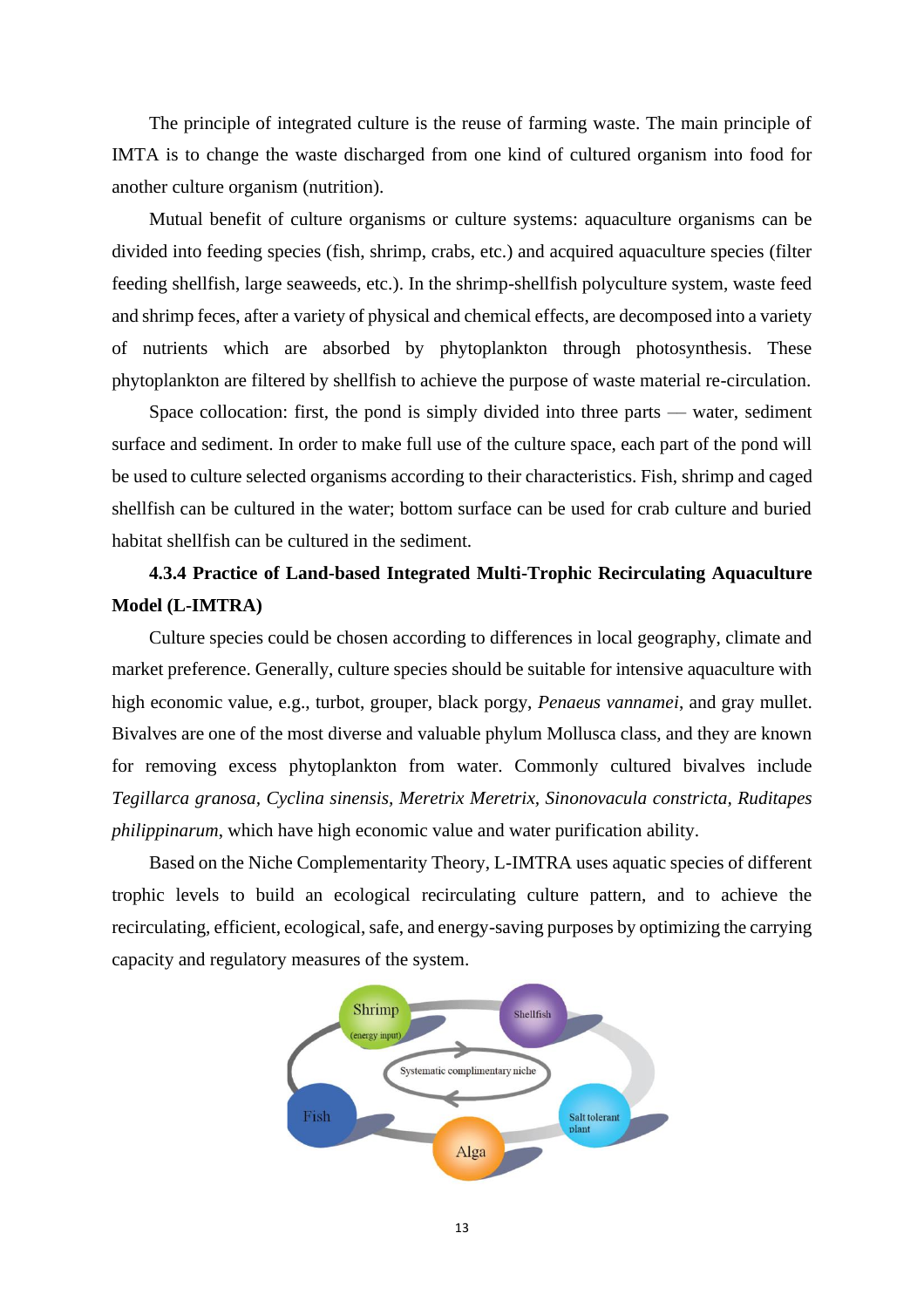The principle of integrated culture is the reuse of farming waste. The main principle of IMTA is to change the waste discharged from one kind of cultured organism into food for another culture organism (nutrition).

Mutual benefit of culture organisms or culture systems: aquaculture organisms can be divided into feeding species (fish, shrimp, crabs, etc.) and acquired aquaculture species (filter feeding shellfish, large seaweeds, etc.). In the shrimp-shellfish polyculture system, waste feed and shrimp feces, after a variety of physical and chemical effects, are decomposed into a variety of nutrients which are absorbed by phytoplankton through photosynthesis. These phytoplankton are filtered by shellfish to achieve the purpose of waste material re-circulation.

Space collocation: first, the pond is simply divided into three parts  $-$  water, sediment surface and sediment. In order to make full use of the culture space, each part of the pond will be used to culture selected organisms according to their characteristics. Fish, shrimp and caged shellfish can be cultured in the water; bottom surface can be used for crab culture and buried habitat shellfish can be cultured in the sediment.

# <span id="page-14-0"></span>**4.3.4 Practice of Land-based Integrated Multi-Trophic Recirculating Aquaculture Model (L-IMTRA)**

Culture species could be chosen according to differences in local geography, climate and market preference. Generally, culture species should be suitable for intensive aquaculture with high economic value, e.g., turbot, grouper, black porgy, *Penaeus vannamei*, and gray mullet. Bivalves are one of the most diverse and valuable phylum Mollusca class, and they are known for removing excess phytoplankton from water. Commonly cultured bivalves include *Tegillarca granosa, Cyclina sinensis, Meretrix Meretrix, Sinonovacula constricta, Ruditapes philippinarum*, which have high economic value and water purification ability.

Based on the Niche Complementarity Theory, L-IMTRA uses aquatic species of different trophic levels to build an ecological recirculating culture pattern, and to achieve the recirculating, efficient, ecological, safe, and energy-saving purposes by optimizing the carrying capacity and regulatory measures of the system.

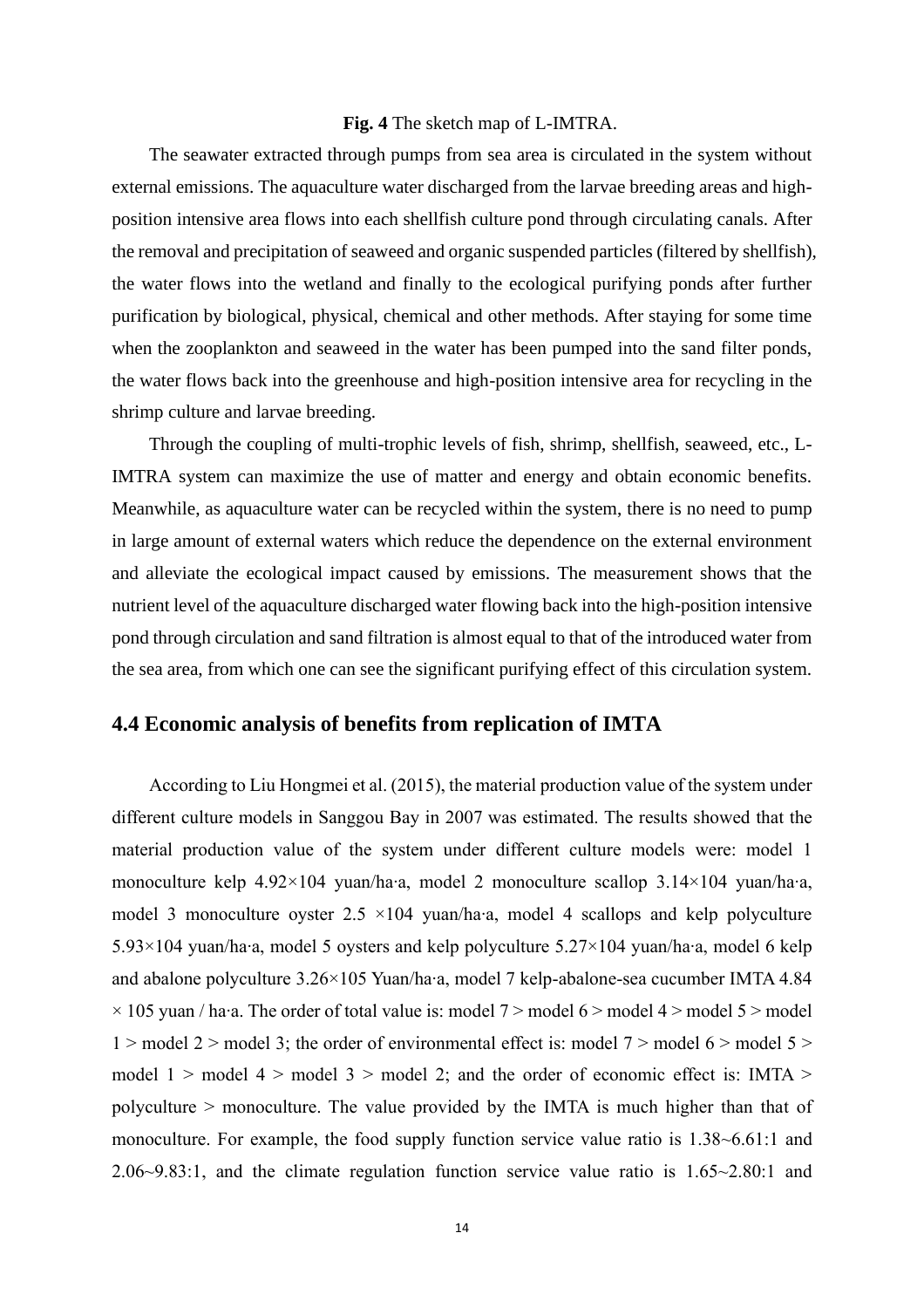#### **Fig. 4** The sketch map of L-IMTRA.

The seawater extracted through pumps from sea area is circulated in the system without external emissions. The aquaculture water discharged from the larvae breeding areas and highposition intensive area flows into each shellfish culture pond through circulating canals. After the removal and precipitation of seaweed and organic suspended particles (filtered by shellfish), the water flows into the wetland and finally to the ecological purifying ponds after further purification by biological, physical, chemical and other methods. After staying for some time when the zooplankton and seaweed in the water has been pumped into the sand filter ponds, the water flows back into the greenhouse and high-position intensive area for recycling in the shrimp culture and larvae breeding.

Through the coupling of multi-trophic levels of fish, shrimp, shellfish, seaweed, etc., L-IMTRA system can maximize the use of matter and energy and obtain economic benefits. Meanwhile, as aquaculture water can be recycled within the system, there is no need to pump in large amount of external waters which reduce the dependence on the external environment and alleviate the ecological impact caused by emissions. The measurement shows that the nutrient level of the aquaculture discharged water flowing back into the high-position intensive pond through circulation and sand filtration is almost equal to that of the introduced water from the sea area, from which one can see the significant purifying effect of this circulation system.

### <span id="page-15-0"></span>**4.4 Economic analysis of benefits from replication of IMTA**

According to Liu Hongmei et al. (2015), the material production value of the system under different culture models in Sanggou Bay in 2007 was estimated. The results showed that the material production value of the system under different culture models were: model 1 monoculture kelp 4.92×104 yuan/ha∙a, model 2 monoculture scallop 3.14×104 yuan/ha∙a, model 3 monoculture oyster 2.5 ×104 yuan/ha∙a, model 4 scallops and kelp polyculture 5.93×104 yuan/ha∙a, model 5 oysters and kelp polyculture 5.27×104 yuan/ha∙a, model 6 kelp and abalone polyculture 3.26×105 Yuan/ha∙a, model 7 kelp-abalone-sea cucumber IMTA 4.84 × 105 yuan / ha∙a. The order of total value is: model 7 > model 6 > model 4 > model 5 > model  $1 >$  model 2 > model 3; the order of environmental effect is: model 7 > model 6 > model 5 > model  $1 >$  model  $4 >$  model  $3 >$  model 2; and the order of economic effect is: IMTA  $>$ polyculture > monoculture. The value provided by the IMTA is much higher than that of monoculture. For example, the food supply function service value ratio is 1.38~6.61:1 and 2.06~9.83:1, and the climate regulation function service value ratio is 1.65~2.80:1 and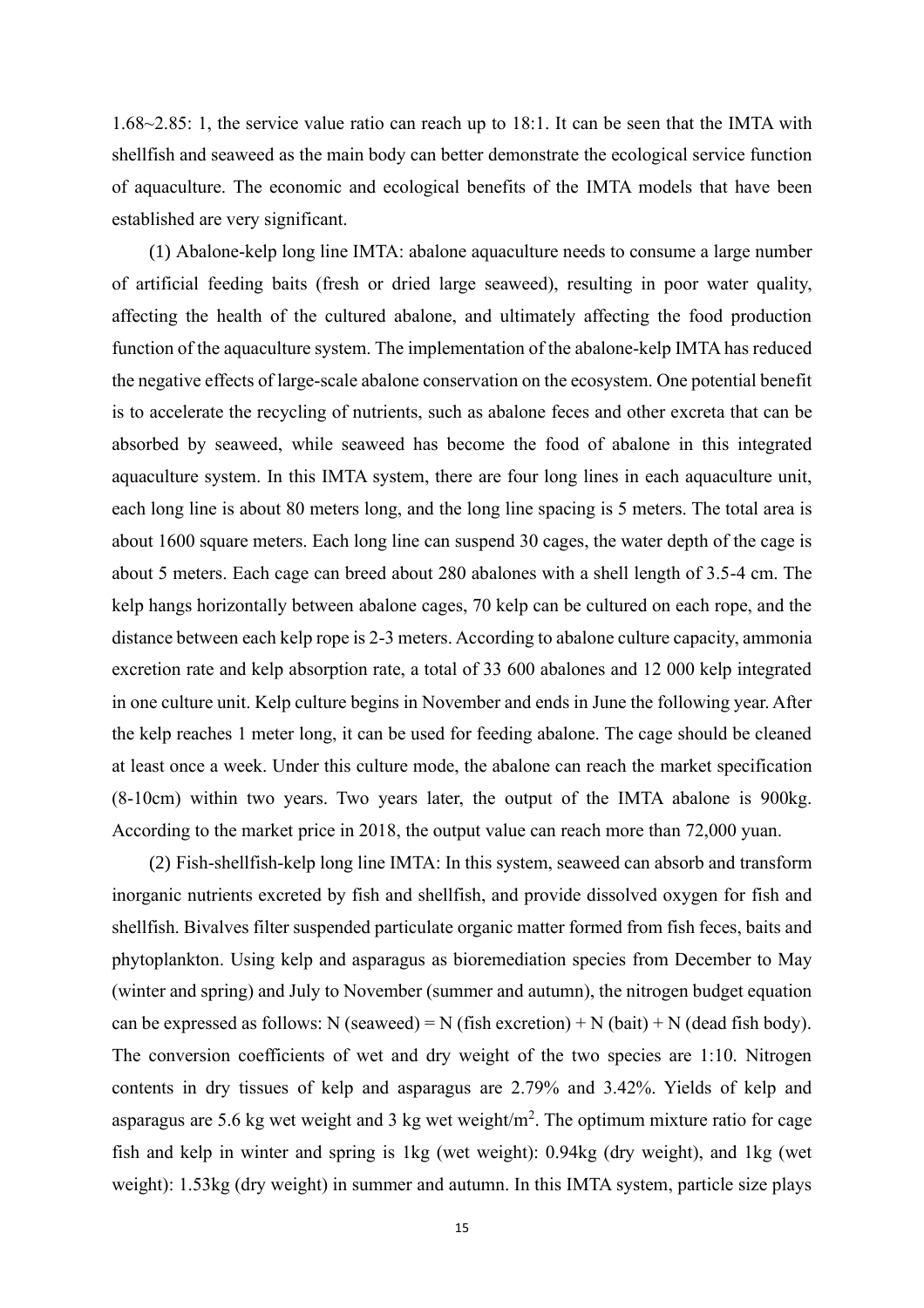1.68~2.85: 1, the service value ratio can reach up to 18:1. It can be seen that the IMTA with shellfish and seaweed as the main body can better demonstrate the ecological service function of aquaculture. The economic and ecological benefits of the IMTA models that have been established are very significant.

(1) Abalone-kelp long line IMTA: abalone aquaculture needs to consume a large number of artificial feeding baits (fresh or dried large seaweed), resulting in poor water quality, affecting the health of the cultured abalone, and ultimately affecting the food production function of the aquaculture system. The implementation of the abalone-kelp IMTA has reduced the negative effects of large-scale abalone conservation on the ecosystem. One potential benefit is to accelerate the recycling of nutrients, such as abalone feces and other excreta that can be absorbed by seaweed, while seaweed has become the food of abalone in this integrated aquaculture system. In this IMTA system, there are four long lines in each aquaculture unit, each long line is about 80 meters long, and the long line spacing is 5 meters. The total area is about 1600 square meters. Each long line can suspend 30 cages, the water depth of the cage is about 5 meters. Each cage can breed about 280 abalones with a shell length of 3.5-4 cm. The kelp hangs horizontally between abalone cages, 70 kelp can be cultured on each rope, and the distance between each kelp rope is 2-3 meters. According to abalone culture capacity, ammonia excretion rate and kelp absorption rate, a total of 33 600 abalones and 12 000 kelp integrated in one culture unit. Kelp culture begins in November and ends in June the following year. After the kelp reaches 1 meter long, it can be used for feeding abalone. The cage should be cleaned at least once a week. Under this culture mode, the abalone can reach the market specification (8-10cm) within two years. Two years later, the output of the IMTA abalone is 900kg. According to the market price in 2018, the output value can reach more than 72,000 yuan.

(2) Fish-shellfish-kelp long line IMTA: In this system, seaweed can absorb and transform inorganic nutrients excreted by fish and shellfish, and provide dissolved oxygen for fish and shellfish. Bivalves filter suspended particulate organic matter formed from fish feces, baits and phytoplankton. Using kelp and asparagus as bioremediation species from December to May (winter and spring) and July to November (summer and autumn), the nitrogen budget equation can be expressed as follows: N (seaweed) = N (fish excretion) + N (bait) + N (dead fish body). The conversion coefficients of wet and dry weight of the two species are 1:10. Nitrogen contents in dry tissues of kelp and asparagus are 2.79% and 3.42%. Yields of kelp and asparagus are 5.6 kg wet weight and 3 kg wet weight/m<sup>2</sup>. The optimum mixture ratio for cage fish and kelp in winter and spring is 1kg (wet weight): 0.94kg (dry weight), and 1kg (wet weight): 1.53kg (dry weight) in summer and autumn. In this IMTA system, particle size plays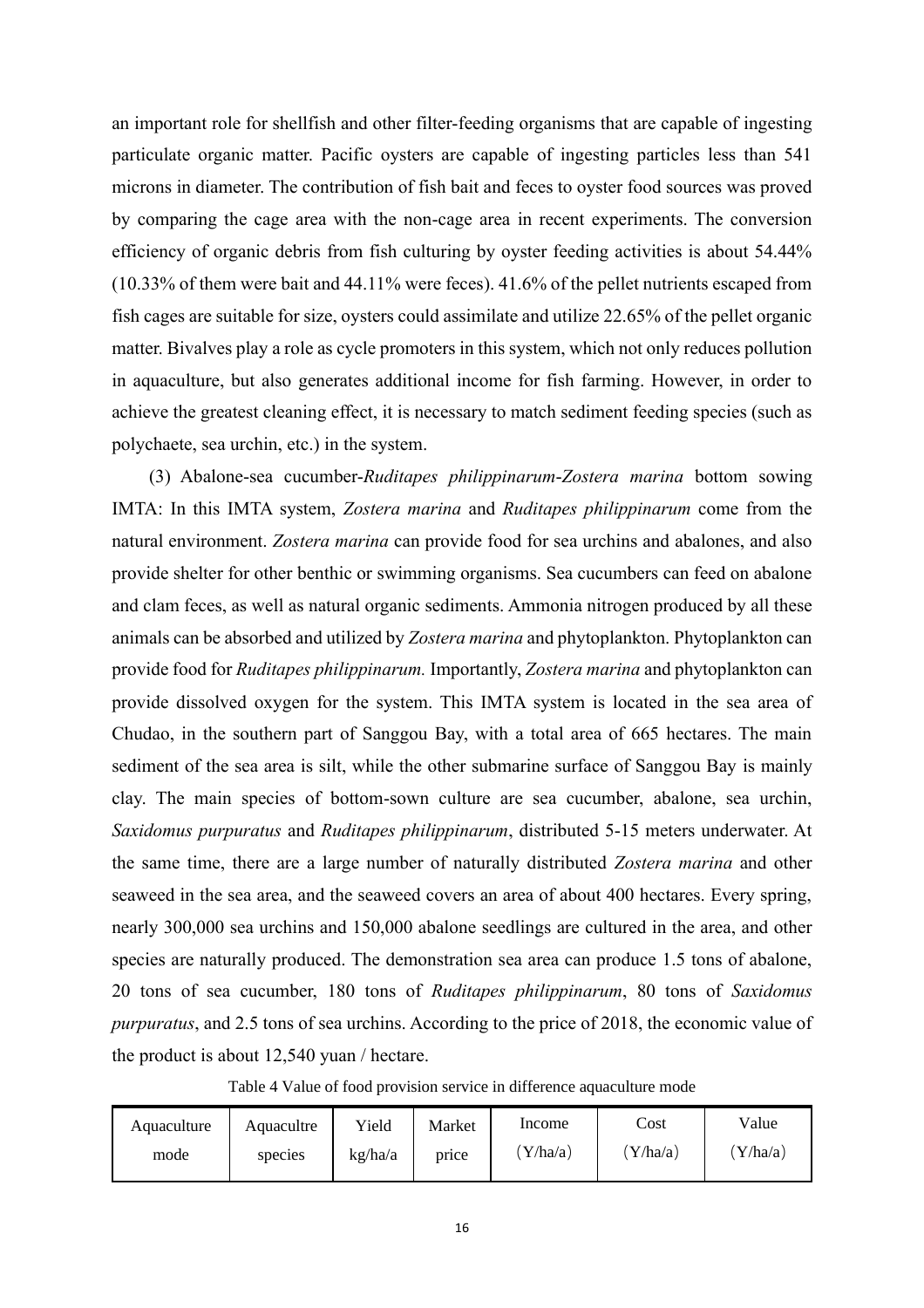an important role for shellfish and other filter-feeding organisms that are capable of ingesting particulate organic matter. Pacific oysters are capable of ingesting particles less than 541 microns in diameter. The contribution of fish bait and feces to oyster food sources was proved by comparing the cage area with the non-cage area in recent experiments. The conversion efficiency of organic debris from fish culturing by oyster feeding activities is about 54.44% (10.33% of them were bait and 44.11% were feces). 41.6% of the pellet nutrients escaped from fish cages are suitable for size, oysters could assimilate and utilize 22.65% of the pellet organic matter. Bivalves play a role as cycle promoters in this system, which not only reduces pollution in aquaculture, but also generates additional income for fish farming. However, in order to achieve the greatest cleaning effect, it is necessary to match sediment feeding species (such as polychaete, sea urchin, etc.) in the system.

(3) Abalone-sea cucumber-*Ruditapes philippinarum*-*Zostera marina* bottom sowing IMTA: In this IMTA system, *Zostera marina* and *Ruditapes philippinarum* come from the natural environment. *Zostera marina* can provide food for sea urchins and abalones, and also provide shelter for other benthic or swimming organisms. Sea cucumbers can feed on abalone and clam feces, as well as natural organic sediments. Ammonia nitrogen produced by all these animals can be absorbed and utilized by *Zostera marina* and phytoplankton. Phytoplankton can provide food for *Ruditapes philippinarum.* Importantly, *Zostera marina* and phytoplankton can provide dissolved oxygen for the system. This IMTA system is located in the sea area of Chudao, in the southern part of Sanggou Bay, with a total area of 665 hectares. The main sediment of the sea area is silt, while the other submarine surface of Sanggou Bay is mainly clay. The main species of bottom-sown culture are sea cucumber, abalone, sea urchin, *Saxidomus purpuratus* and *Ruditapes philippinarum*, distributed 5-15 meters underwater. At the same time, there are a large number of naturally distributed *Zostera marina* and other seaweed in the sea area, and the seaweed covers an area of about 400 hectares. Every spring, nearly 300,000 sea urchins and 150,000 abalone seedlings are cultured in the area, and other species are naturally produced. The demonstration sea area can produce 1.5 tons of abalone, 20 tons of sea cucumber, 180 tons of *Ruditapes philippinarum*, 80 tons of *Saxidomus purpuratus*, and 2.5 tons of sea urchins. According to the price of 2018, the economic value of the product is about 12,540 yuan / hectare.

Table 4 Value of food provision service in difference aquaculture mode

| Aquaculture | Aquacultre | Yield   | Market | Income | Cost   | Value    |
|-------------|------------|---------|--------|--------|--------|----------|
| mode        | species    | kg/ha/a | price  | Y/ha/a | Y/ha/a | 'Y/ha/a) |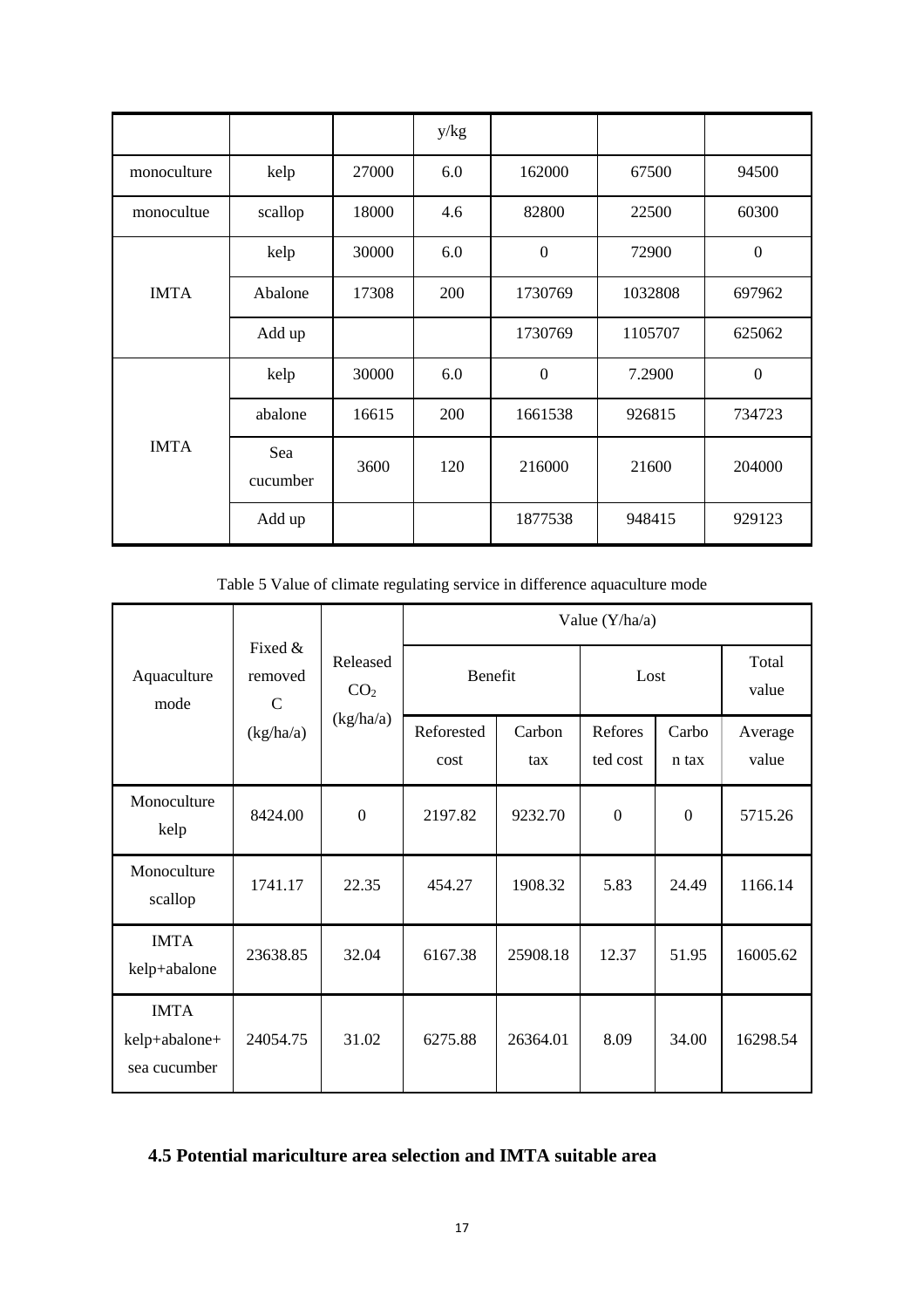|             |                 |       | y/kg |                  |         |                  |
|-------------|-----------------|-------|------|------------------|---------|------------------|
| monoculture | kelp            | 27000 | 6.0  | 162000           | 67500   | 94500            |
| monocultue  | scallop         | 18000 | 4.6  | 82800            | 22500   | 60300            |
|             | kelp            | 30000 | 6.0  | $\boldsymbol{0}$ | 72900   | $\overline{0}$   |
| <b>IMTA</b> | Abalone         | 17308 | 200  | 1730769          | 1032808 | 697962           |
|             | Add up          |       |      | 1730769          | 1105707 | 625062           |
|             | kelp            | 30000 | 6.0  | $\boldsymbol{0}$ | 7.2900  | $\boldsymbol{0}$ |
|             | abalone         | 16615 | 200  | 1661538          | 926815  | 734723           |
| <b>IMTA</b> | Sea<br>cucumber | 3600  | 120  | 216000           | 21600   | 204000           |
|             | Add up          |       |      | 1877538          | 948415  | 929123           |

Table 5 Value of climate regulating service in difference aquaculture mode

|                                              |                                                                   |                  |                    |               | Value (Y/ha/a)      |                  |                  |
|----------------------------------------------|-------------------------------------------------------------------|------------------|--------------------|---------------|---------------------|------------------|------------------|
| Aquaculture<br>mode                          | Fixed &<br>Released<br>removed<br>CO <sub>2</sub><br>$\mathsf{C}$ |                  | Benefit            |               | Lost                |                  | Total<br>value   |
|                                              | (kg/ha/a)                                                         | (kg/ha/a)        | Reforested<br>cost | Carbon<br>tax | Refores<br>ted cost | Carbo<br>n tax   | Average<br>value |
| Monoculture<br>kelp                          | 8424.00                                                           | $\boldsymbol{0}$ | 2197.82            | 9232.70       | $\boldsymbol{0}$    | $\boldsymbol{0}$ | 5715.26          |
| Monoculture<br>scallop                       | 1741.17                                                           | 22.35            | 454.27             | 1908.32       | 5.83                | 24.49            | 1166.14          |
| <b>IMTA</b><br>kelp+abalone                  | 23638.85                                                          | 32.04            | 6167.38            | 25908.18      | 12.37               | 51.95            | 16005.62         |
| <b>IMTA</b><br>kelp+abalone+<br>sea cucumber | 24054.75                                                          | 31.02            | 6275.88            | 26364.01      | 8.09                | 34.00            | 16298.54         |

# <span id="page-18-0"></span>**4.5 Potential mariculture area selection and IMTA suitable area**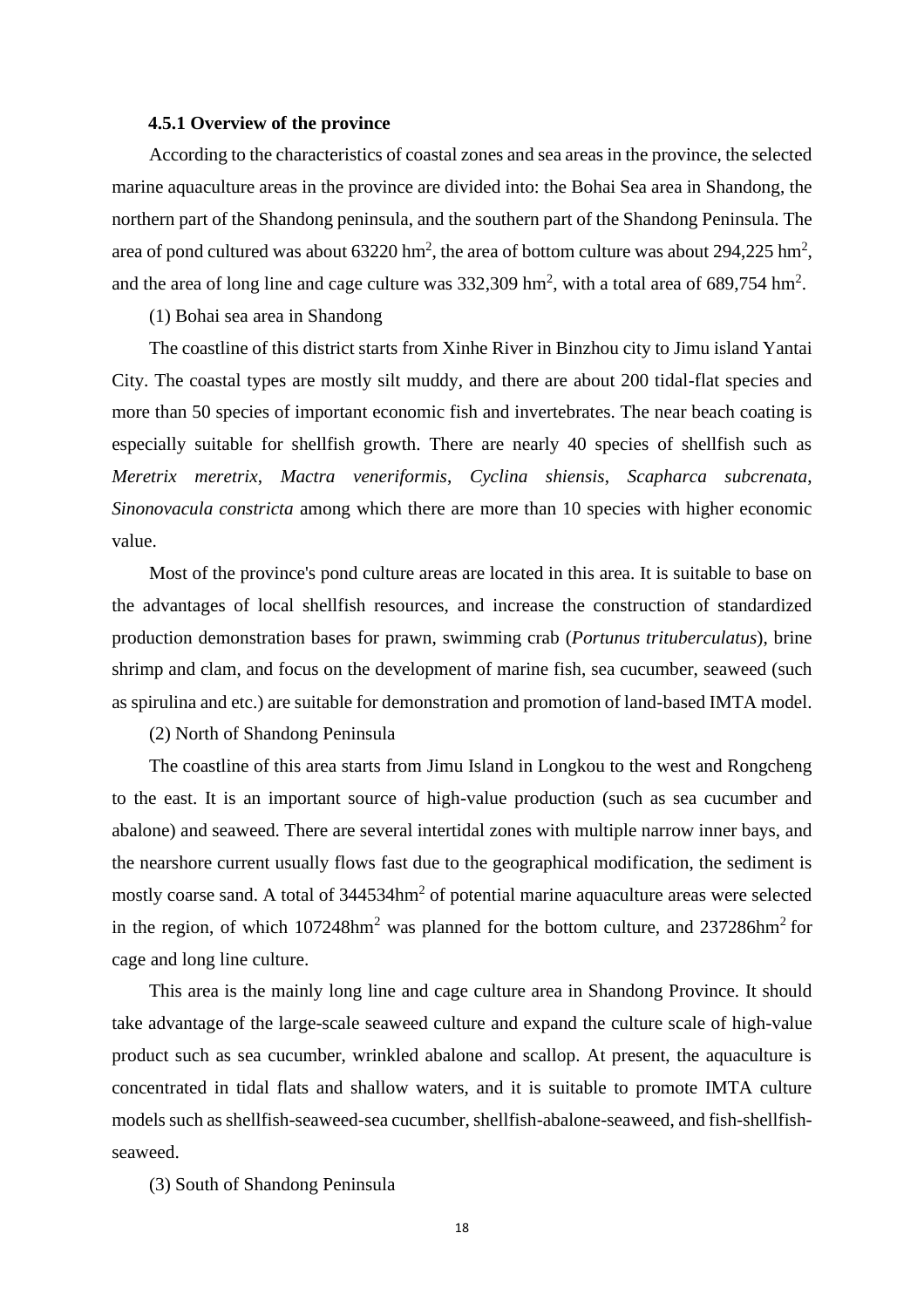#### **4.5.1 Overview of the province**

<span id="page-19-0"></span>According to the characteristics of coastal zones and sea areas in the province, the selected marine aquaculture areas in the province are divided into: the Bohai Sea area in Shandong, the northern part of the Shandong peninsula, and the southern part of the Shandong Peninsula. The area of pond cultured was about  $63220 \text{ hm}^2$ , the area of bottom culture was about  $294,225 \text{ hm}^2$ , and the area of long line and cage culture was  $332,309$  hm<sup>2</sup>, with a total area of 689,754 hm<sup>2</sup>.

(1) Bohai sea area in Shandong

The coastline of this district starts from Xinhe River in Binzhou city to Jimu island Yantai City. The coastal types are mostly silt muddy, and there are about 200 tidal-flat species and more than 50 species of important economic fish and invertebrates. The near beach coating is especially suitable for shellfish growth. There are nearly 40 species of shellfish such as *Meretrix meretrix*, *Mactra veneriformis*, *Cyclina shiensis*, *Scapharca subcrenata*, *Sinonovacula constricta* among which there are more than 10 species with higher economic value.

Most of the province's pond culture areas are located in this area. It is suitable to base on the advantages of local shellfish resources, and increase the construction of standardized production demonstration bases for prawn, swimming crab (*Portunus trituberculatus*), brine shrimp and clam, and focus on the development of marine fish, sea cucumber, seaweed (such as spirulina and etc.) are suitable for demonstration and promotion of land-based IMTA model.

(2) North of Shandong Peninsula

The coastline of this area starts from Jimu Island in Longkou to the west and Rongcheng to the east. It is an important source of high-value production (such as sea cucumber and abalone) and seaweed. There are several intertidal zones with multiple narrow inner bays, and the nearshore current usually flows fast due to the geographical modification, the sediment is mostly coarse sand. A total of 344534hm<sup>2</sup> of potential marine aquaculture areas were selected in the region, of which  $107248$ hm<sup>2</sup> was planned for the bottom culture, and  $237286$ hm<sup>2</sup> for cage and long line culture.

This area is the mainly long line and cage culture area in Shandong Province. It should take advantage of the large-scale seaweed culture and expand the culture scale of high-value product such as sea cucumber, wrinkled abalone and scallop. At present, the aquaculture is concentrated in tidal flats and shallow waters, and it is suitable to promote IMTA culture models such as shellfish-seaweed-sea cucumber, shellfish-abalone-seaweed, and fish-shellfishseaweed.

(3) South of Shandong Peninsula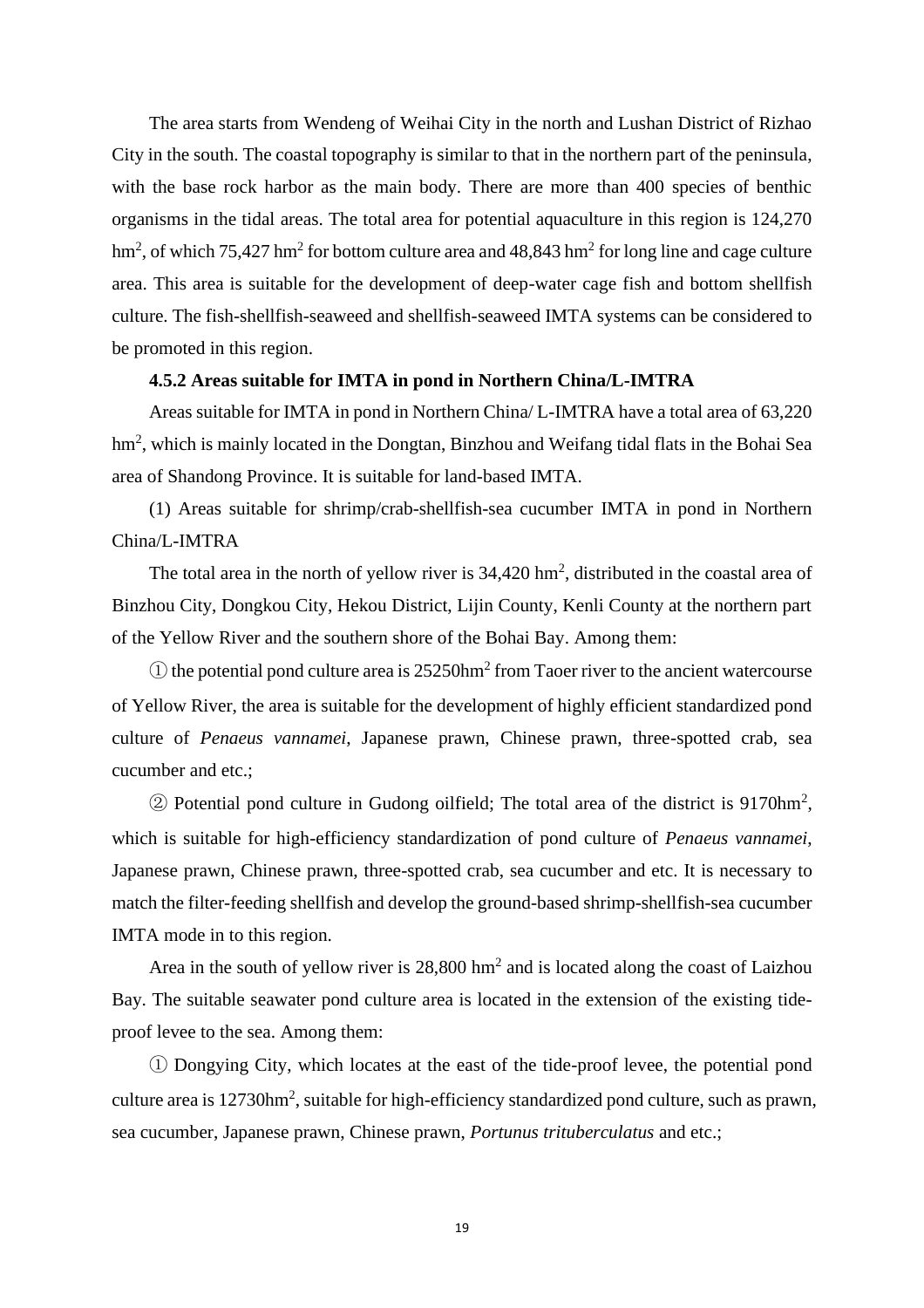The area starts from Wendeng of Weihai City in the north and Lushan District of Rizhao City in the south. The coastal topography is similar to that in the northern part of the peninsula, with the base rock harbor as the main body. There are more than 400 species of benthic organisms in the tidal areas. The total area for potential aquaculture in this region is 124,270 hm<sup>2</sup>, of which 75,427 hm<sup>2</sup> for bottom culture area and 48,843 hm<sup>2</sup> for long line and cage culture area. This area is suitable for the development of deep-water cage fish and bottom shellfish culture. The fish-shellfish-seaweed and shellfish-seaweed IMTA systems can be considered to be promoted in this region.

#### **4.5.2 Areas suitable for IMTA in pond in Northern China/L-IMTRA**

<span id="page-20-0"></span>Areas suitable for IMTA in pond in Northern China/ L-IMTRA have a total area of 63,220 hm<sup>2</sup> , which is mainly located in the Dongtan, Binzhou and Weifang tidal flats in the Bohai Sea area of Shandong Province. It is suitable for land-based IMTA.

(1) Areas suitable for shrimp/crab-shellfish-sea cucumber IMTA in pond in Northern China/L-IMTRA

The total area in the north of yellow river is  $34,420$  hm<sup>2</sup>, distributed in the coastal area of Binzhou City, Dongkou City, Hekou District, Lijin County, Kenli County at the northern part of the Yellow River and the southern shore of the Bohai Bay. Among them:

 $\Omega$  the potential pond culture area is 25250hm<sup>2</sup> from Taoer river to the ancient watercourse of Yellow River, the area is suitable for the development of highly efficient standardized pond culture of *Penaeus vannamei*, Japanese prawn, Chinese prawn, three-spotted crab, sea cucumber and etc.;

② Potential pond culture in Gudong oilfield; The total area of the district is 9170hm<sup>2</sup> , which is suitable for high-efficiency standardization of pond culture of *Penaeus vannamei*, Japanese prawn, Chinese prawn, three-spotted crab, sea cucumber and etc. It is necessary to match the filter-feeding shellfish and develop the ground-based shrimp-shellfish-sea cucumber IMTA mode in to this region.

Area in the south of yellow river is  $28,800 \text{ hm}^2$  and is located along the coast of Laizhou Bay. The suitable seawater pond culture area is located in the extension of the existing tideproof levee to the sea. Among them:

① Dongying City, which locates at the east of the tide-proof levee, the potential pond culture area is 12730hm<sup>2</sup>, suitable for high-efficiency standardized pond culture, such as prawn, sea cucumber, Japanese prawn, Chinese prawn, *Portunus trituberculatus* and etc.;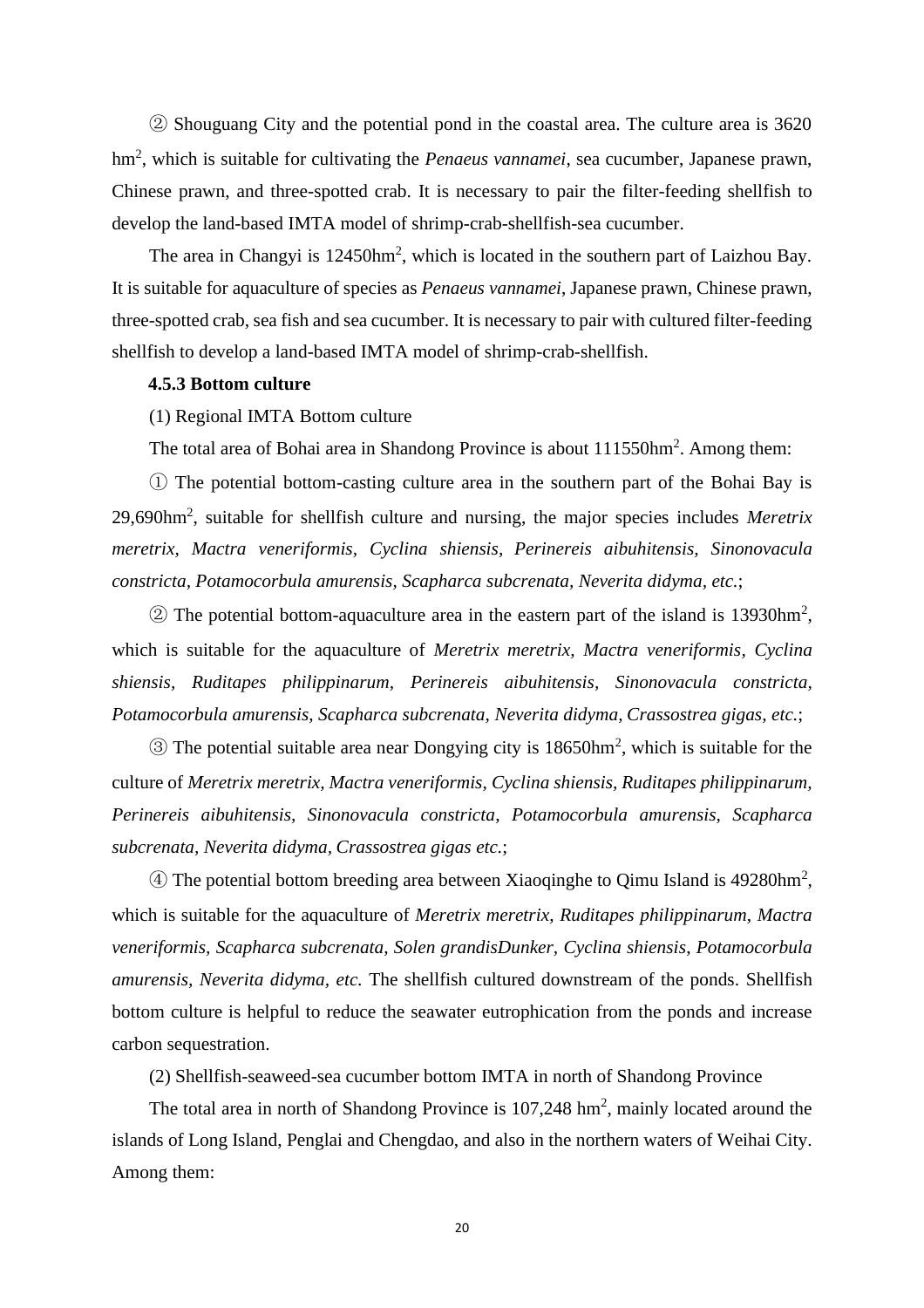② Shouguang City and the potential pond in the coastal area. The culture area is 3620 hm<sup>2</sup> , which is suitable for cultivating the *Penaeus vannamei*, sea cucumber, Japanese prawn, Chinese prawn, and three-spotted crab. It is necessary to pair the filter-feeding shellfish to develop the land-based IMTA model of shrimp-crab-shellfish-sea cucumber.

The area in Changyi is  $12450$ hm<sup>2</sup>, which is located in the southern part of Laizhou Bay. It is suitable for aquaculture of species as *Penaeus vannamei*, Japanese prawn, Chinese prawn, three-spotted crab, sea fish and sea cucumber. It is necessary to pair with cultured filter-feeding shellfish to develop a land-based IMTA model of shrimp-crab-shellfish.

#### <span id="page-21-0"></span>**4.5.3 Bottom culture**

#### (1) Regional IMTA Bottom culture

The total area of Bohai area in Shandong Province is about 111550hm<sup>2</sup>. Among them:

① The potential bottom-casting culture area in the southern part of the Bohai Bay is 29,690hm<sup>2</sup> , suitable for shellfish culture and nursing, the major species includes *Meretrix meretrix, Mactra veneriformis, Cyclina shiensis, Perinereis aibuhitensis, Sinonovacula constricta, Potamocorbula amurensis, Scapharca subcrenata, Neverita didyma, etc.*;

 $\textcircled{2}$  The potential bottom-aquaculture area in the eastern part of the island is 13930hm<sup>2</sup>, which is suitable for the aquaculture of *Meretrix meretrix, Mactra veneriformis, Cyclina shiensis, Ruditapes philippinarum, Perinereis aibuhitensis, Sinonovacula constricta, Potamocorbula amurensis, Scapharca subcrenata, Neverita didyma, Crassostrea gigas, etc.*;

 $\circledS$  The potential suitable area near Dongying city is 18650hm<sup>2</sup>, which is suitable for the culture of *Meretrix meretrix, Mactra veneriformis, Cyclina shiensis, Ruditapes philippinarum, Perinereis aibuhitensis, Sinonovacula constricta, Potamocorbula amurensis, Scapharca subcrenata, Neverita didyma, Crassostrea gigas etc.*;

④ The potential bottom breeding area between Xiaoqinghe to Qimu Island is 49280hm<sup>2</sup> , which is suitable for the aquaculture of *Meretrix meretrix*, *Ruditapes philippinarum*, *Mactra veneriformis, Scapharca subcrenata, Solen grandisDunker, Cyclina shiensis*, *Potamocorbula amurensis, Neverita didyma, etc.* The shellfish cultured downstream of the ponds. Shellfish bottom culture is helpful to reduce the seawater eutrophication from the ponds and increase carbon sequestration.

(2) Shellfish-seaweed-sea cucumber bottom IMTA in north of Shandong Province

The total area in north of Shandong Province is  $107,248$  hm<sup>2</sup>, mainly located around the islands of Long Island, Penglai and Chengdao, and also in the northern waters of Weihai City. Among them: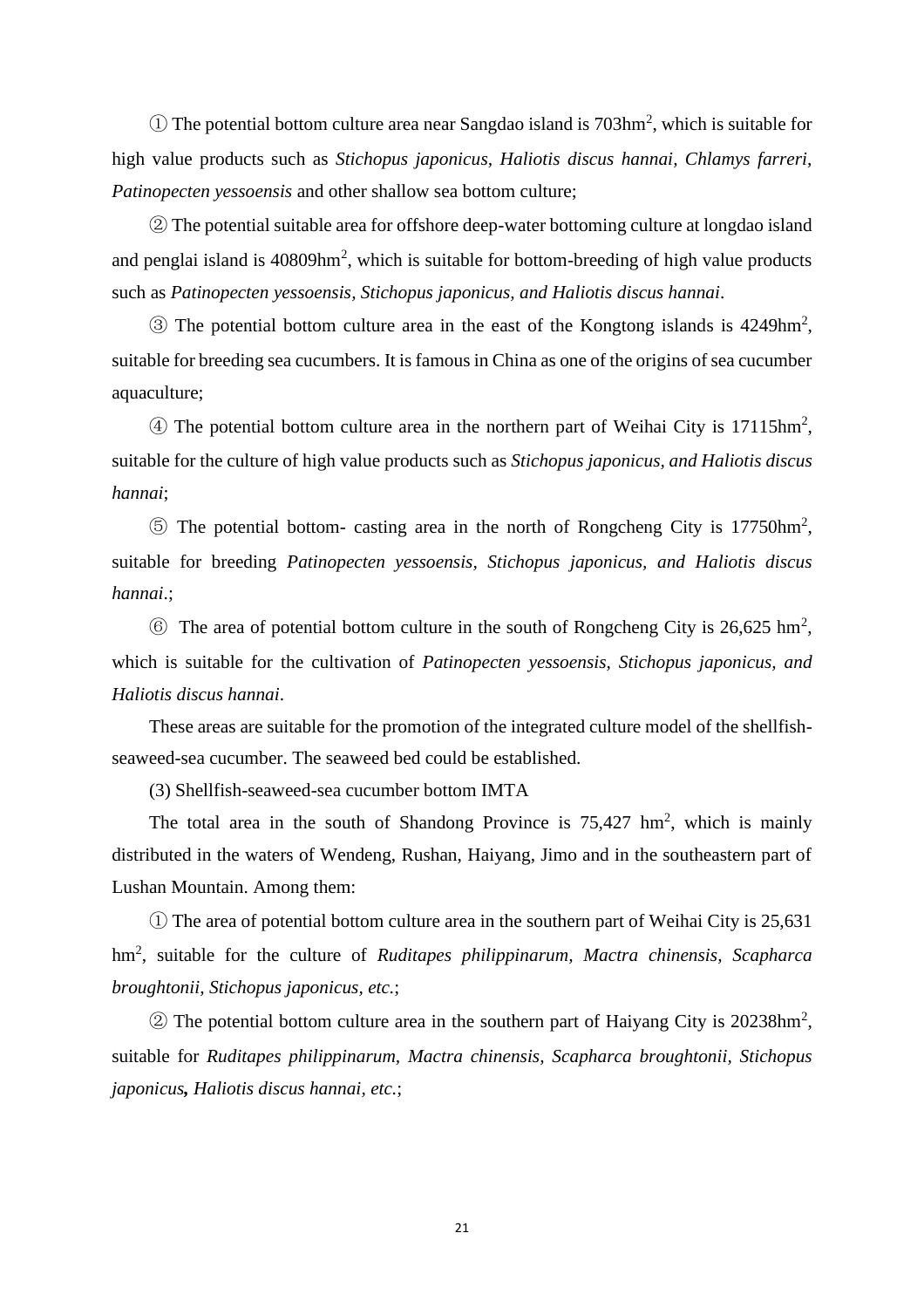$\Omega$  The potential bottom culture area near Sangdao island is 703hm<sup>2</sup>, which is suitable for high value products such as *Stichopus japonicus, Haliotis discus hannai, Chlamys farreri, Patinopecten yessoensis* and other shallow sea bottom culture;

② The potential suitable area for offshore deep-water bottoming culture at longdao island and penglai island is  $40809$ hm<sup>2</sup>, which is suitable for bottom-breeding of high value products such as *Patinopecten yessoensis, Stichopus japonicus, and Haliotis discus hannai*.

③ The potential bottom culture area in the east of the Kongtong islands is 4249hm<sup>2</sup> , suitable for breeding sea cucumbers. It is famous in China as one of the origins of sea cucumber aquaculture;

④ The potential bottom culture area in the northern part of Weihai City is 17115hm<sup>2</sup> , suitable for the culture of high value products such as *Stichopus japonicus, and Haliotis discus hannai*;

⑤ The potential bottom- casting area in the north of Rongcheng City is 17750hm<sup>2</sup> , suitable for breeding *Patinopecten yessoensis, Stichopus japonicus, and Haliotis discus hannai*.;

 $\circled{6}$  The area of potential bottom culture in the south of Rongcheng City is 26,625 hm<sup>2</sup>, which is suitable for the cultivation of *Patinopecten yessoensis, Stichopus japonicus, and Haliotis discus hannai*.

These areas are suitable for the promotion of the integrated culture model of the shellfishseaweed-sea cucumber. The seaweed bed could be established.

(3) Shellfish-seaweed-sea cucumber bottom IMTA

The total area in the south of Shandong Province is  $75,427$  hm<sup>2</sup>, which is mainly distributed in the waters of Wendeng, Rushan, Haiyang, Jimo and in the southeastern part of Lushan Mountain. Among them:

① The area of potential bottom culture area in the southern part of Weihai City is 25,631 hm<sup>2</sup> , suitable for the culture of *Ruditapes philippinarum, Mactra chinensis, Scapharca broughtonii, Stichopus japonicus, etc.*;

 $\textcircled{2}$  The potential bottom culture area in the southern part of Haiyang City is 20238hm<sup>2</sup>, suitable for *Ruditapes philippinarum, Mactra chinensis, Scapharca broughtonii, Stichopus japonicus, Haliotis discus hannai, etc.*;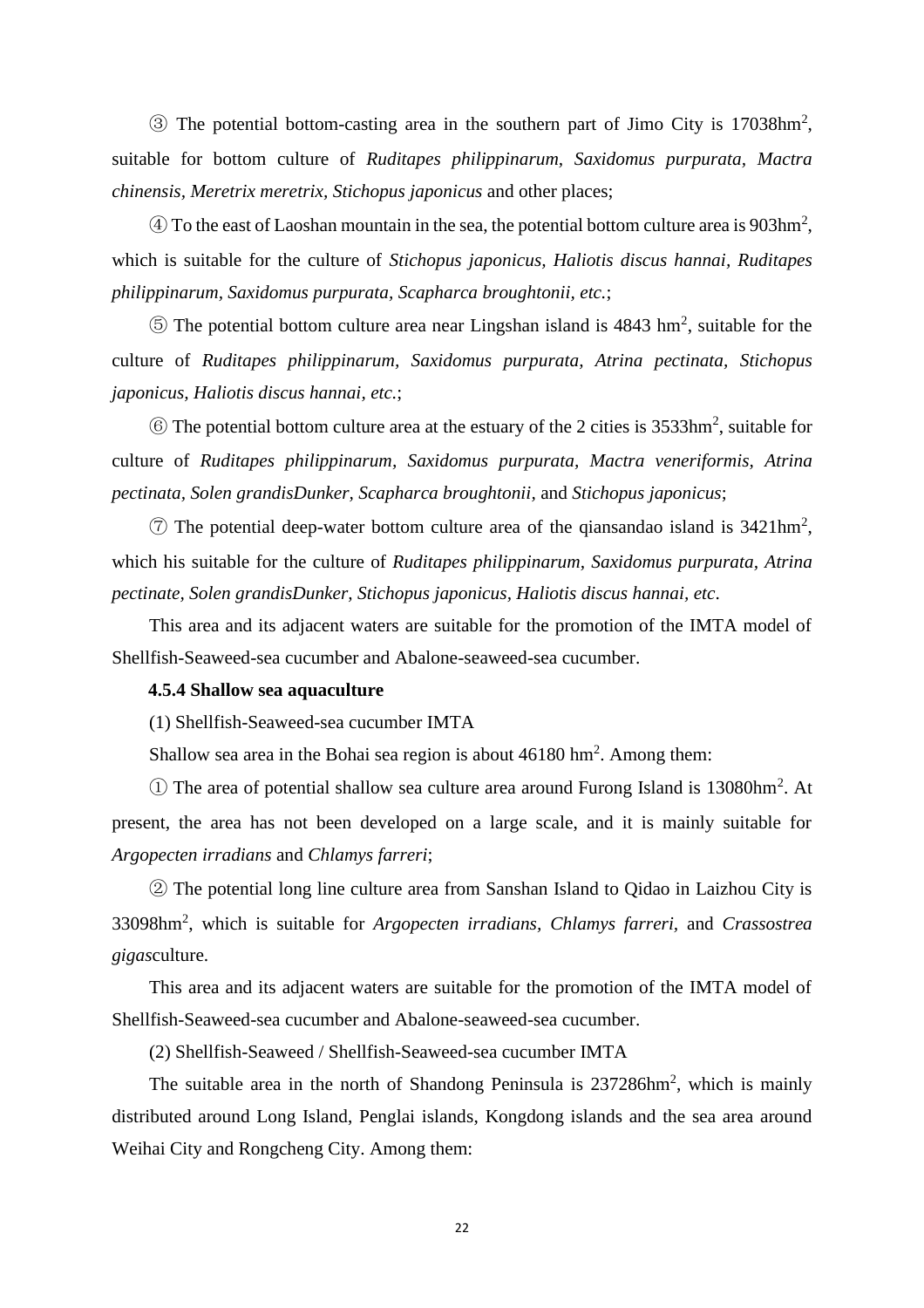③ The potential bottom-casting area in the southern part of Jimo City is 17038hm<sup>2</sup> , suitable for bottom culture of *Ruditapes philippinarum, Saxidomus purpurata, Mactra chinensis, Meretrix meretrix, Stichopus japonicus* and other places;

 $\Phi$  To the east of Laoshan mountain in the sea, the potential bottom culture area is 903hm<sup>2</sup>, which is suitable for the culture of *Stichopus japonicus, Haliotis discus hannai, Ruditapes philippinarum, Saxidomus purpurata, Scapharca broughtonii, etc.*;

 $\circledS$  The potential bottom culture area near Lingshan island is 4843 hm<sup>2</sup>, suitable for the culture of *Ruditapes philippinarum, Saxidomus purpurata, Atrina pectinata, Stichopus japonicus, Haliotis discus hannai, etc.*;

⑥ The potential bottom culture area at the estuary of the 2 cities is 3533hm<sup>2</sup> , suitable for culture of *Ruditapes philippinarum, Saxidomus purpurata, Mactra veneriformis, Atrina pectinata, Solen grandisDunker, Scapharca broughtonii,* and *Stichopus japonicus*;

 $\circled{7}$  The potential deep-water bottom culture area of the qiansandao island is 3421hm<sup>2</sup>, which his suitable for the culture of *Ruditapes philippinarum, Saxidomus purpurata, Atrina pectinate, Solen grandisDunker, Stichopus japonicus, Haliotis discus hannai, etc*.

This area and its adjacent waters are suitable for the promotion of the IMTA model of Shellfish-Seaweed-sea cucumber and Abalone-seaweed-sea cucumber.

#### <span id="page-23-0"></span>**4.5.4 Shallow sea aquaculture**

(1) Shellfish-Seaweed-sea cucumber IMTA

Shallow sea area in the Bohai sea region is about  $46180 \text{ hm}^2$ . Among them:

① The area of potential shallow sea culture area around Furong Island is 13080hm<sup>2</sup> . At present, the area has not been developed on a large scale, and it is mainly suitable for *Argopecten irradians* and *Chlamys farreri*;

② The potential long line culture area from Sanshan Island to Qidao in Laizhou City is 33098hm<sup>2</sup> , which is suitable for *Argopecten irradians, Chlamys farreri,* and *Crassostrea gigas*culture.

This area and its adjacent waters are suitable for the promotion of the IMTA model of Shellfish-Seaweed-sea cucumber and Abalone-seaweed-sea cucumber.

(2) Shellfish-Seaweed / Shellfish-Seaweed-sea cucumber IMTA

The suitable area in the north of Shandong Peninsula is 237286hm<sup>2</sup>, which is mainly distributed around Long Island, Penglai islands, Kongdong islands and the sea area around Weihai City and Rongcheng City. Among them: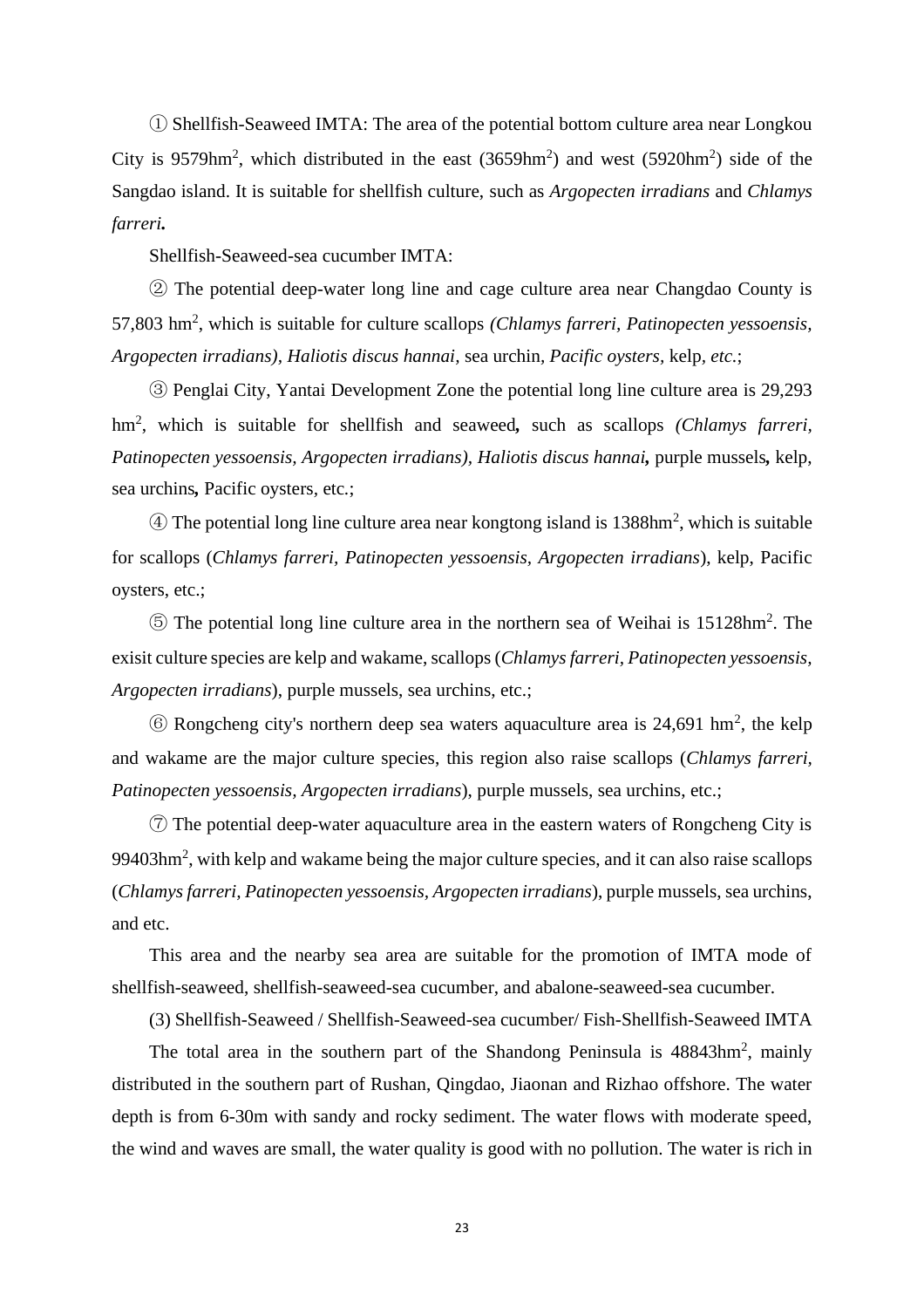① Shellfish-Seaweed IMTA: The area of the potential bottom culture area near Longkou City is 9579hm<sup>2</sup>, which distributed in the east  $(3659$ hm<sup>2</sup>) and west  $(5920$ hm<sup>2</sup>) side of the Sangdao island. It is suitable for shellfish culture, such as *Argopecten irradians* and *Chlamys farreri.*

Shellfish-Seaweed-sea cucumber IMTA:

② The potential deep-water long line and cage culture area near Changdao County is 57,803 hm<sup>2</sup> , which is suitable for culture scallops *(Chlamys farreri, Patinopecten yessoensis, Argopecten irradians), Haliotis discus hannai,* sea urchin*, Pacific oysters,* kelp*, etc.*;

③ Penglai City, Yantai Development Zone the potential long line culture area is 29,293 hm<sup>2</sup> , which is suitable for shellfish and seaweed*,* such as scallops *(Chlamys farreri, Patinopecten yessoensis, Argopecten irradians), Haliotis discus hannai,* purple mussels*,* kelp, sea urchins*,* Pacific oysters*,* etc*.*;

④ The potential long line culture area near kongtong island is 1388hm<sup>2</sup> , which is *s*uitable for scallops (*Chlamys farreri, Patinopecten yessoensis, Argopecten irradians*), kelp, Pacific oysters, etc.;

⑤ The potential long line culture area in the northern sea of Weihai is 15128hm<sup>2</sup> . The exisit culture species are kelp and wakame, scallops (*Chlamys farreri, Patinopecten yessoensis, Argopecten irradians*), purple mussels, sea urchins, etc.;

 $\circled{6}$  Rongcheng city's northern deep sea waters aquaculture area is 24,691 hm<sup>2</sup>, the kelp and wakame are the major culture species, this region also raise scallops (*Chlamys farreri, Patinopecten yessoensis, Argopecten irradians*), purple mussels, sea urchins, etc.;

⑦ The potential deep-water aquaculture area in the eastern waters of Rongcheng City is  $99403$ hm<sup>2</sup>, with kelp and wakame being the major culture species, and it can also raise scallops (*Chlamys farreri, Patinopecten yessoensis, Argopecten irradians*), purple mussels, sea urchins, and etc.

This area and the nearby sea area are suitable for the promotion of IMTA mode of shellfish-seaweed, shellfish-seaweed-sea cucumber, and abalone-seaweed-sea cucumber.

(3) Shellfish-Seaweed / Shellfish-Seaweed-sea cucumber/ Fish-Shellfish-Seaweed IMTA

The total area in the southern part of the Shandong Peninsula is 48843hm<sup>2</sup>, mainly distributed in the southern part of Rushan, Qingdao, Jiaonan and Rizhao offshore. The water depth is from 6-30m with sandy and rocky sediment. The water flows with moderate speed, the wind and waves are small, the water quality is good with no pollution. The water is rich in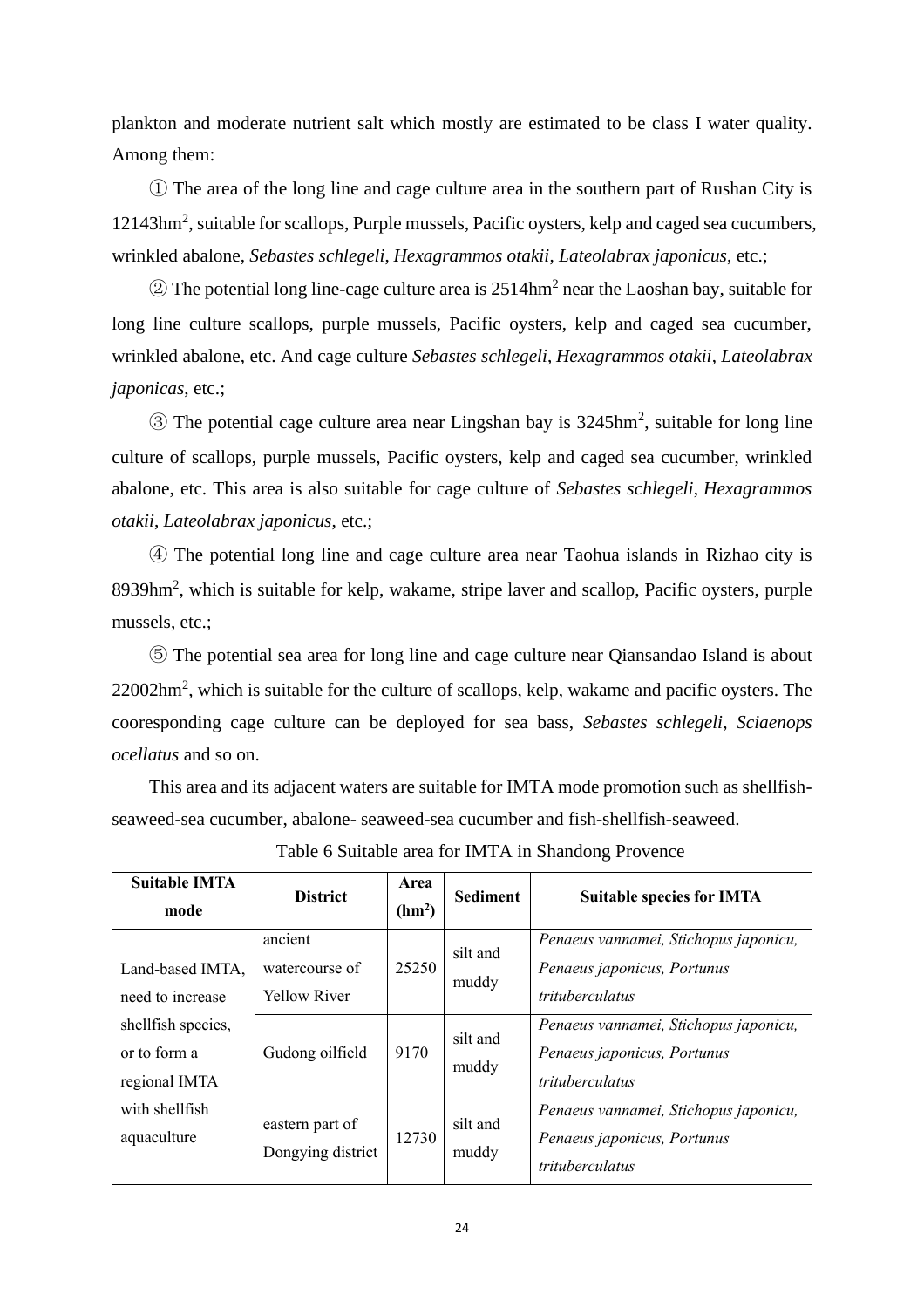plankton and moderate nutrient salt which mostly are estimated to be class I water quality. Among them:

① The area of the long line and cage culture area in the southern part of Rushan City is 12143hm<sup>2</sup>, suitable for scallops, Purple mussels, Pacific oysters, kelp and caged sea cucumbers, wrinkled abalone, *Sebastes schlegeli*, *Hexagrammos otakii*, *Lateolabrax japonicus*, etc.;

 $\textcircled{2}$  The potential long line-cage culture area is 2514hm<sup>2</sup> near the Laoshan bay, suitable for long line culture scallops, purple mussels, Pacific oysters, kelp and caged sea cucumber, wrinkled abalone, etc. And cage culture *Sebastes schlegeli*, *Hexagrammos otakii*, *Lateolabrax japonicas*, etc.;

 $\circledS$  The potential cage culture area near Lingshan bay is 3245hm<sup>2</sup>, suitable for long line culture of scallops, purple mussels, Pacific oysters, kelp and caged sea cucumber, wrinkled abalone, etc. This area is also suitable for cage culture of *Sebastes schlegeli*, *Hexagrammos otakii*, *Lateolabrax japonicus*, etc.;

④ The potential long line and cage culture area near Taohua islands in Rizhao city is 8939hm<sup>2</sup>, which is suitable for kelp, wakame, stripe laver and scallop, Pacific oysters, purple mussels, etc.;

⑤ The potential sea area for long line and cage culture near Qiansandao Island is about  $22002$ hm<sup>2</sup>, which is suitable for the culture of scallops, kelp, wakame and pacific oysters. The cooresponding cage culture can be deployed for sea bass, *Sebastes schlegeli*, *Sciaenops ocellatus* and so on.

This area and its adjacent waters are suitable for IMTA mode promotion such as shellfishseaweed-sea cucumber, abalone- seaweed-sea cucumber and fish-shellfish-seaweed.

| <b>Suitable IMTA</b><br>mode                        | <b>District</b>                                  | Area<br>(hm <sup>2</sup> ) | <b>Sediment</b>   | <b>Suitable species for IMTA</b>                                                        |
|-----------------------------------------------------|--------------------------------------------------|----------------------------|-------------------|-----------------------------------------------------------------------------------------|
| Land-based IMTA,<br>need to increase                | ancient<br>watercourse of<br><b>Yellow River</b> | 25250                      | silt and<br>muddy | Penaeus vannamei, Stichopus japonicu,<br>Penaeus japonicus, Portunus<br>trituberculatus |
| shellfish species,<br>or to form a<br>regional IMTA | Gudong oilfield                                  | 9170                       | silt and<br>muddy | Penaeus vannamei, Stichopus japonicu,<br>Penaeus japonicus, Portunus<br>trituberculatus |
| with shellfish<br>aquaculture                       | eastern part of<br>Dongying district             | 12730                      | silt and<br>muddy | Penaeus vannamei, Stichopus japonicu,<br>Penaeus japonicus, Portunus<br>trituberculatus |

Table 6 Suitable area for IMTA in Shandong Provence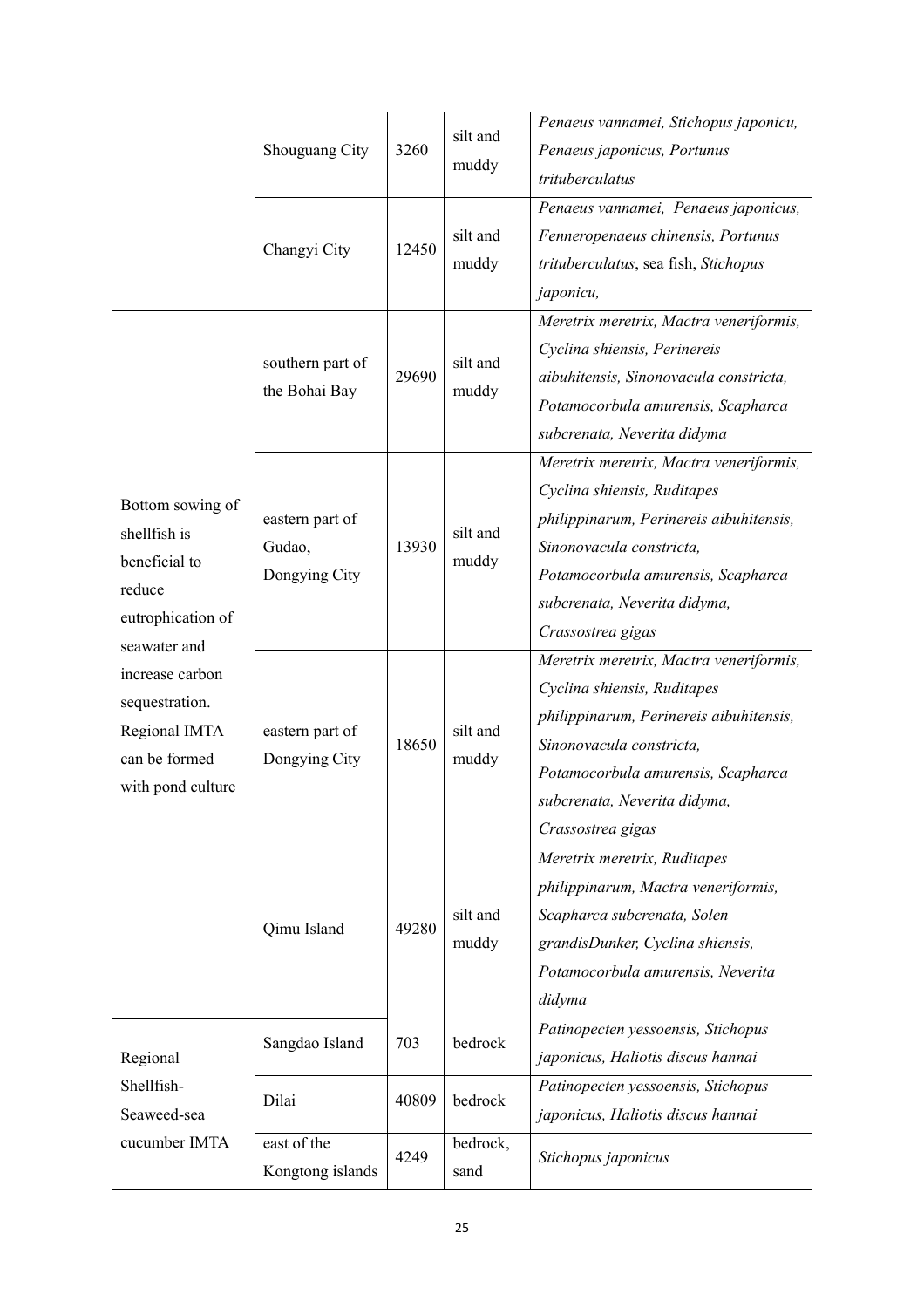|                                                                                                                                                                                              | Shouguang City                             | 3260  | silt and<br>muddy | Penaeus vannamei, Stichopus japonicu,<br>Penaeus japonicus, Portunus<br>trituberculatus                                                                                                                                                  |
|----------------------------------------------------------------------------------------------------------------------------------------------------------------------------------------------|--------------------------------------------|-------|-------------------|------------------------------------------------------------------------------------------------------------------------------------------------------------------------------------------------------------------------------------------|
|                                                                                                                                                                                              | Changyi City                               | 12450 | silt and<br>muddy | Penaeus vannamei, Penaeus japonicus,<br>Fenneropenaeus chinensis, Portunus<br>trituberculatus, sea fish, Stichopus<br>japonicu,                                                                                                          |
| Bottom sowing of<br>shellfish is<br>beneficial to<br>reduce<br>eutrophication of<br>seawater and<br>increase carbon<br>sequestration.<br>Regional IMTA<br>can be formed<br>with pond culture | southern part of<br>the Bohai Bay          | 29690 | silt and<br>muddy | Meretrix meretrix, Mactra veneriformis,<br>Cyclina shiensis, Perinereis<br>aibuhitensis, Sinonovacula constricta,<br>Potamocorbula amurensis, Scapharca<br>subcrenata, Neverita didyma                                                   |
|                                                                                                                                                                                              | eastern part of<br>Gudao,<br>Dongying City | 13930 | silt and<br>muddy | Meretrix meretrix, Mactra veneriformis,<br>Cyclina shiensis, Ruditapes<br>philippinarum, Perinereis aibuhitensis,<br>Sinonovacula constricta,<br>Potamocorbula amurensis, Scapharca<br>subcrenata, Neverita didyma,<br>Crassostrea gigas |
|                                                                                                                                                                                              | eastern part of<br>Dongying City           | 18650 | silt and<br>muddy | Meretrix meretrix, Mactra veneriformis,<br>Cyclina shiensis, Ruditapes<br>philippinarum, Perinereis aibuhitensis,<br>Sinonovacula constricta,<br>Potamocorbula amurensis, Scapharca<br>subcrenata, Neverita didyma,<br>Crassostrea gigas |
|                                                                                                                                                                                              | Qimu Island                                | 49280 | silt and<br>muddy | Meretrix meretrix, Ruditapes<br>philippinarum, Mactra veneriformis,<br>Scapharca subcrenata, Solen<br>grandisDunker, Cyclina shiensis,<br>Potamocorbula amurensis, Neverita<br>didyma                                                    |
| Regional<br>Shellfish-<br>Seaweed-sea<br>cucumber IMTA                                                                                                                                       | Sangdao Island                             | 703   | bedrock           | Patinopecten yessoensis, Stichopus<br>japonicus, Haliotis discus hannai                                                                                                                                                                  |
|                                                                                                                                                                                              | Dilai                                      | 40809 | bedrock           | Patinopecten yessoensis, Stichopus<br>japonicus, Haliotis discus hannai                                                                                                                                                                  |
|                                                                                                                                                                                              | east of the<br>Kongtong islands            | 4249  | bedrock,<br>sand  | Stichopus japonicus                                                                                                                                                                                                                      |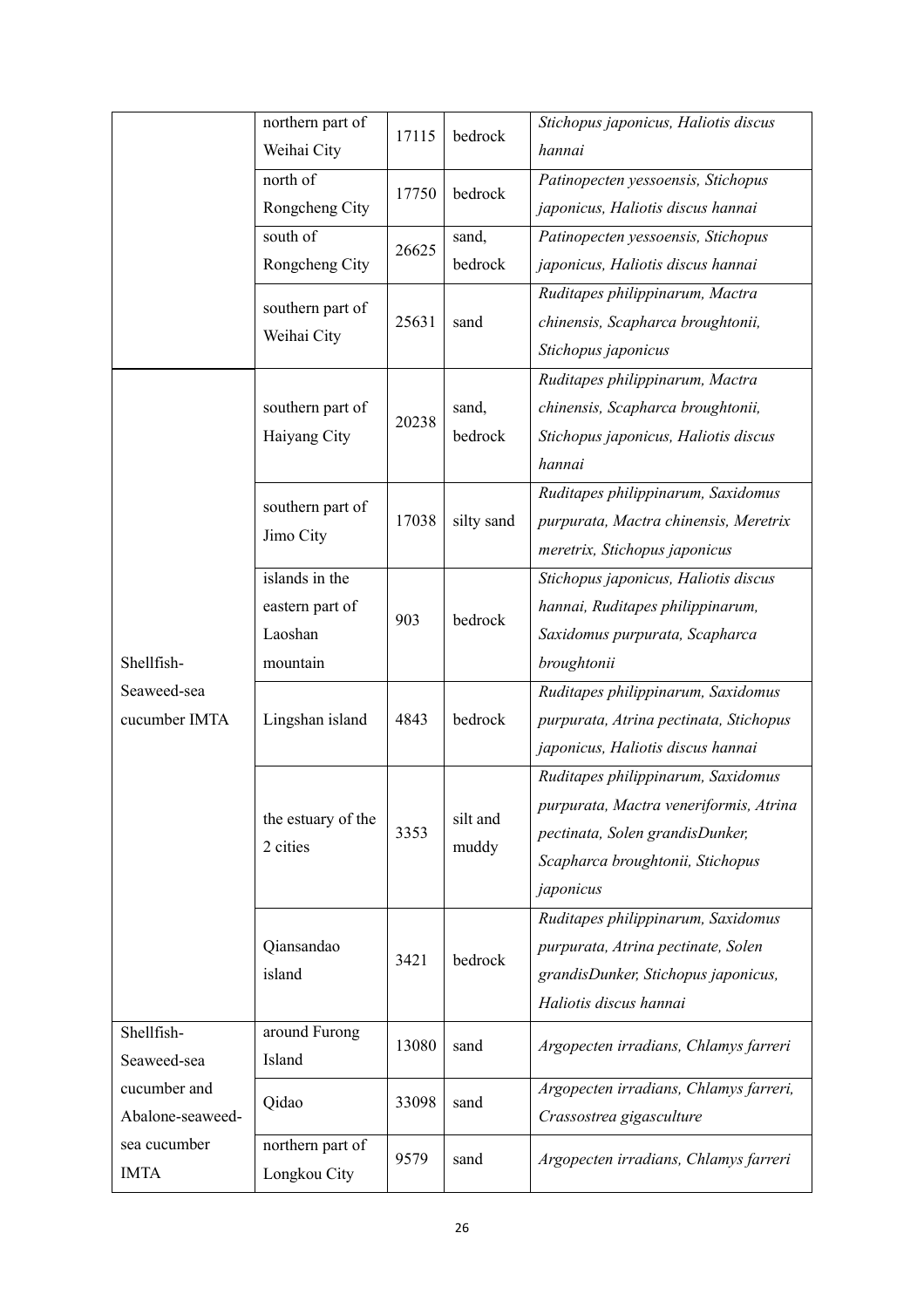|                                                               | northern part of<br>Weihai City                          | 17115 | bedrock           | Stichopus japonicus, Haliotis discus<br>hannai                                                                                                                   |
|---------------------------------------------------------------|----------------------------------------------------------|-------|-------------------|------------------------------------------------------------------------------------------------------------------------------------------------------------------|
|                                                               | north of<br>Rongcheng City                               | 17750 | bedrock           | Patinopecten yessoensis, Stichopus<br>japonicus, Haliotis discus hannai                                                                                          |
|                                                               | south of<br>Rongcheng City                               | 26625 | sand,<br>bedrock  | Patinopecten yessoensis, Stichopus<br>japonicus, Haliotis discus hannai                                                                                          |
|                                                               | southern part of<br>Weihai City                          | 25631 | sand              | Ruditapes philippinarum, Mactra<br>chinensis, Scapharca broughtonii,<br>Stichopus japonicus                                                                      |
| Shellfish-<br>Seaweed-sea<br>cucumber IMTA                    | southern part of<br>Haiyang City                         | 20238 | sand,<br>bedrock  | Ruditapes philippinarum, Mactra<br>chinensis, Scapharca broughtonii,<br>Stichopus japonicus, Haliotis discus<br>hannai                                           |
|                                                               | southern part of<br>Jimo City                            | 17038 | silty sand        | Ruditapes philippinarum, Saxidomus<br>purpurata, Mactra chinensis, Meretrix<br>meretrix, Stichopus japonicus                                                     |
|                                                               | islands in the<br>eastern part of<br>Laoshan<br>mountain | 903   | bedrock           | Stichopus japonicus, Haliotis discus<br>hannai, Ruditapes philippinarum,<br>Saxidomus purpurata, Scapharca<br>broughtonii                                        |
|                                                               | Lingshan island                                          | 4843  | bedrock           | Ruditapes philippinarum, Saxidomus<br>purpurata, Atrina pectinata, Stichopus<br>japonicus, Haliotis discus hannai                                                |
|                                                               | the estuary of the<br>2 cities                           | 3353  | silt and<br>muddy | Ruditapes philippinarum, Saxidomus<br>purpurata, Mactra veneriformis, Atrina<br>pectinata, Solen grandisDunker,<br>Scapharca broughtonii, Stichopus<br>japonicus |
|                                                               | Qiansandao<br>island                                     | 3421  | bedrock           | Ruditapes philippinarum, Saxidomus<br>purpurata, Atrina pectinate, Solen<br>grandisDunker, Stichopus japonicus,<br>Haliotis discus hannai                        |
| Shellfish-<br>Seaweed-sea<br>cucumber and<br>Abalone-seaweed- | around Furong<br>Island                                  | 13080 | sand              | Argopecten irradians, Chlamys farreri                                                                                                                            |
|                                                               | Qidao                                                    | 33098 | sand              | Argopecten irradians, Chlamys farreri,<br>Crassostrea gigasculture                                                                                               |
| sea cucumber<br><b>IMTA</b>                                   | northern part of<br>Longkou City                         | 9579  | sand              | Argopecten irradians, Chlamys farreri                                                                                                                            |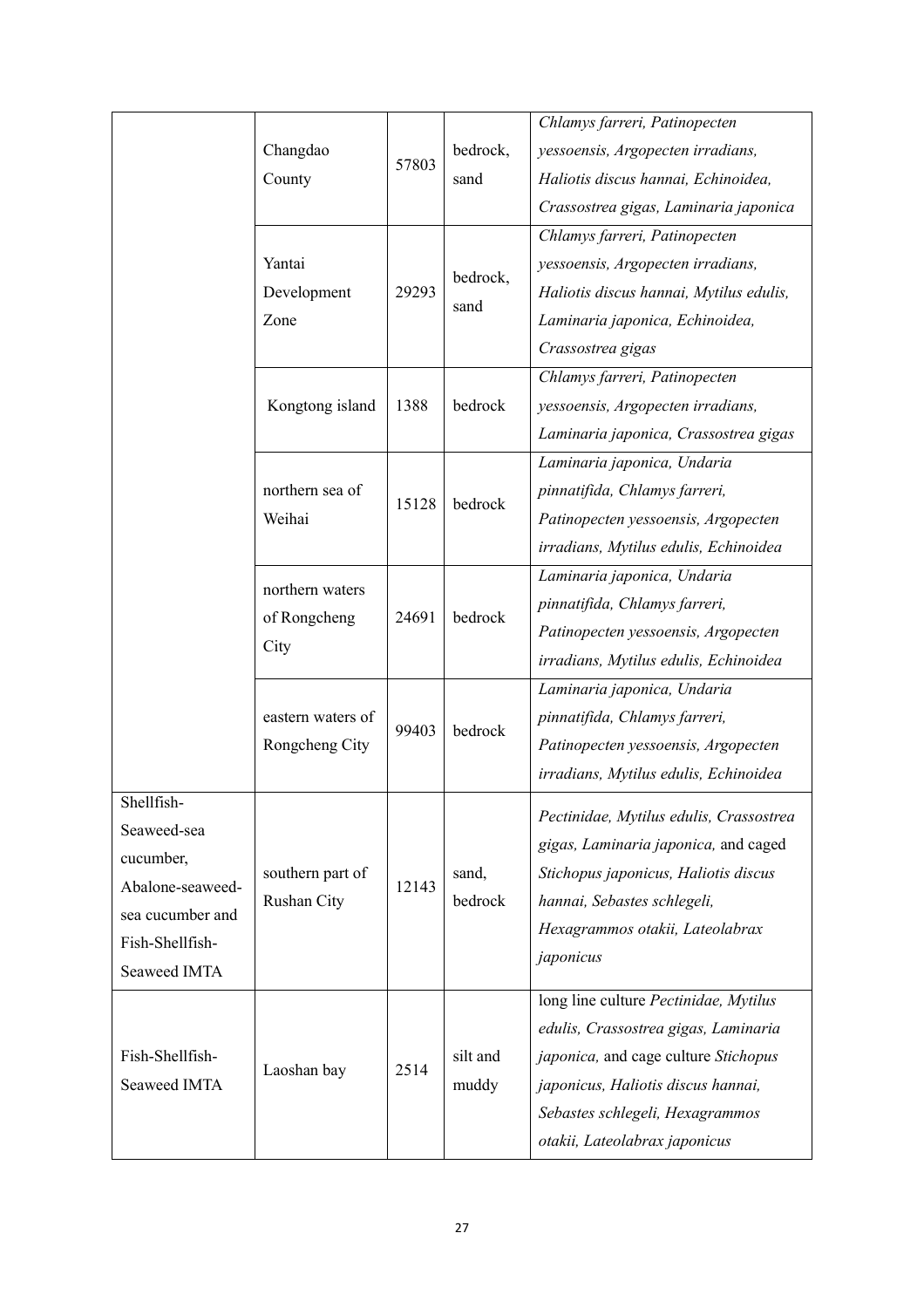|                                 |                                         |       |                   | Chlamys farreri, Patinopecten           |
|---------------------------------|-----------------------------------------|-------|-------------------|-----------------------------------------|
|                                 | Changdao<br>County                      | 57803 | bedrock,<br>sand  | yessoensis, Argopecten irradians,       |
|                                 |                                         |       |                   | Haliotis discus hannai, Echinoidea,     |
|                                 |                                         |       |                   | Crassostrea gigas, Laminaria japonica   |
|                                 | Yantai<br>Development<br>Zone           | 29293 | bedrock,<br>sand  | Chlamys farreri, Patinopecten           |
|                                 |                                         |       |                   | yessoensis, Argopecten irradians,       |
|                                 |                                         |       |                   | Haliotis discus hannai, Mytilus edulis, |
|                                 |                                         |       |                   | Laminaria japonica, Echinoidea,         |
|                                 |                                         |       |                   | Crassostrea gigas                       |
|                                 | Kongtong island                         | 1388  | bedrock           | Chlamys farreri, Patinopecten           |
|                                 |                                         |       |                   | yessoensis, Argopecten irradians,       |
|                                 |                                         |       |                   | Laminaria japonica, Crassostrea gigas   |
|                                 |                                         |       | bedrock           | Laminaria japonica, Undaria             |
|                                 | northern sea of                         | 15128 |                   | pinnatifida, Chlamys farreri,           |
|                                 | Weihai                                  |       |                   | Patinopecten yessoensis, Argopecten     |
|                                 |                                         |       |                   | irradians, Mytilus edulis, Echinoidea   |
|                                 | northern waters<br>of Rongcheng<br>City | 24691 | bedrock           | Laminaria japonica, Undaria             |
|                                 |                                         |       |                   | pinnatifida, Chlamys farreri,           |
|                                 |                                         |       |                   | Patinopecten yessoensis, Argopecten     |
|                                 |                                         |       |                   | irradians, Mytilus edulis, Echinoidea   |
|                                 | eastern waters of<br>Rongcheng City     | 99403 | bedrock           | Laminaria japonica, Undaria             |
|                                 |                                         |       |                   | pinnatifida, Chlamys farreri,           |
|                                 |                                         |       |                   | Patinopecten yessoensis, Argopecten     |
|                                 |                                         |       |                   | irradians, Mytilus edulis, Echinoidea   |
| Shellfish-                      |                                         |       |                   | Pectinidae, Mytilus edulis, Crassostrea |
| Seaweed-sea                     | southern part of<br>Rushan City         | 12143 | sand,<br>bedrock  | gigas, Laminaria japonica, and caged    |
| cucumber,                       |                                         |       |                   | Stichopus japonicus, Haliotis discus    |
| Abalone-seaweed-                |                                         |       |                   | hannai, Sebastes schlegeli,             |
| sea cucumber and                |                                         |       |                   | Hexagrammos otakii, Lateolabrax         |
| Fish-Shellfish-                 |                                         |       |                   | japonicus                               |
| Seaweed IMTA                    |                                         |       |                   |                                         |
| Fish-Shellfish-<br>Seaweed IMTA | Laoshan bay                             | 2514  | silt and<br>muddy | long line culture Pectinidae, Mytilus   |
|                                 |                                         |       |                   | edulis, Crassostrea gigas, Laminaria    |
|                                 |                                         |       |                   | japonica, and cage culture Stichopus    |
|                                 |                                         |       |                   | japonicus, Haliotis discus hannai,      |
|                                 |                                         |       |                   | Sebastes schlegeli, Hexagrammos         |
|                                 |                                         |       |                   | otakii, Lateolabrax japonicus           |